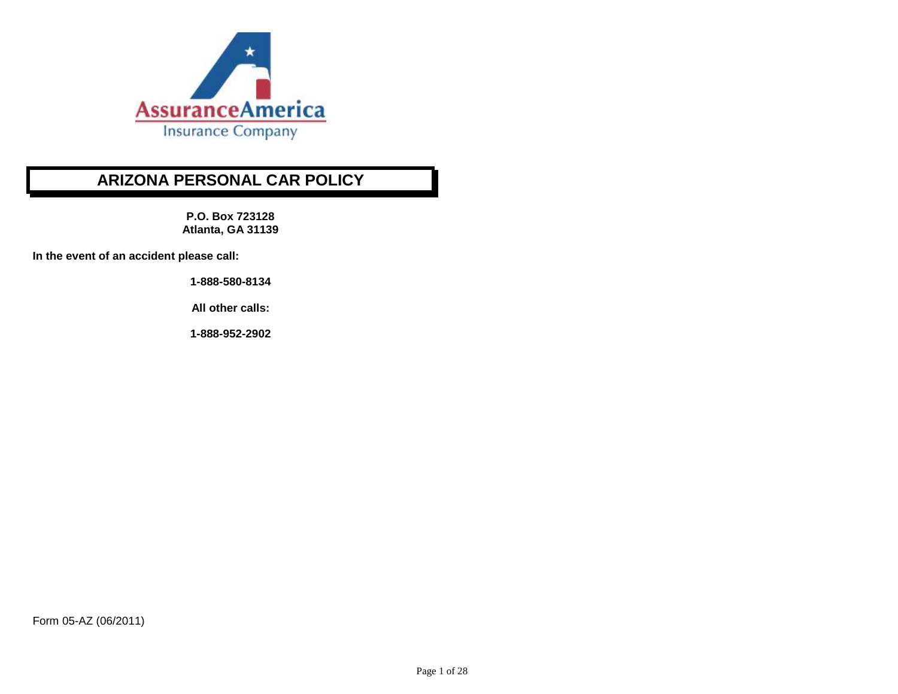

# **ARIZONA PERSONAL CAR POLICY**

**P.O. Box 723128 Atlanta, GA 31139**

**In the event of an accident please call:**

**1-888-580-8134** 

**All other calls:**

**1-888-952-2902**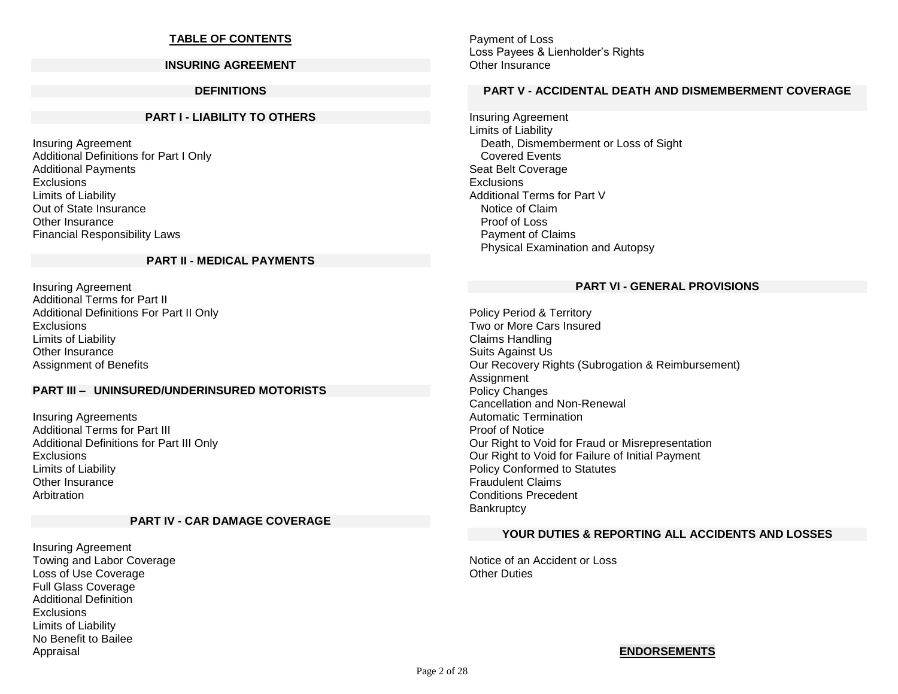### **TABLE OF CONTENTS**

#### **INSURING AGREEMENT**

#### **DEFINITIONS**

#### **PART I - LIABILITY TO OTHERS**

Insuring Agreement Additional Definitions for Part I Only Additional Payments Exclusions Limits of Liability Out of State Insurance Other Insurance Financial Responsibility Laws

#### **PART II - MEDICAL PAYMENTS**

Insuring Agreement Additional Terms for Part II Additional Definitions For Part II Only **Exclusions** Limits of Liability Other Insurance Assignment of Benefits

### **PART III – UNINSURED/UNDERINSURED MOTORISTS**

Insuring Agreements Additional Terms for Part III Additional Definitions for Part III Only **Exclusions** Limits of Liability Other Insurance Arbitration

#### **PART IV - CAR DAMAGE COVERAGE**

Insuring Agreement Towing and Labor Coverage Loss of Use Coverage Full Glass Coverage Additional Definition Exclusions Limits of Liability No Benefit to Bailee Appraisal

Payment of Loss Loss Payees & Lienholder's Rights Other Insurance

#### **PART V - ACCIDENTAL DEATH AND DISMEMBERMENT COVERAGE**

Insuring Agreement Limits of Liability Death, Dismemberment or Loss of Sight Covered Events Seat Belt Coverage Exclusions Additional Terms for Part V Notice of Claim Proof of Loss Payment of Claims Physical Examination and Autopsy

#### **PART VI - GENERAL PROVISIONS**

Policy Period & Territory Two or More Cars Insured Claims Handling Suits Against Us Our Recovery Rights (Subrogation & Reimbursement) **Assignment** Policy Changes Cancellation and Non-Renewal Automatic Termination Proof of Notice Our Right to Void for Fraud or Misrepresentation Our Right to Void for Failure of Initial Payment Policy Conformed to Statutes Fraudulent Claims Conditions Precedent **Bankruptcy** 

#### **YOUR DUTIES & REPORTING ALL ACCIDENTS AND LOSSES**

Notice of an Accident or Loss **Other Duties** 

#### **ENDORSEMENTS**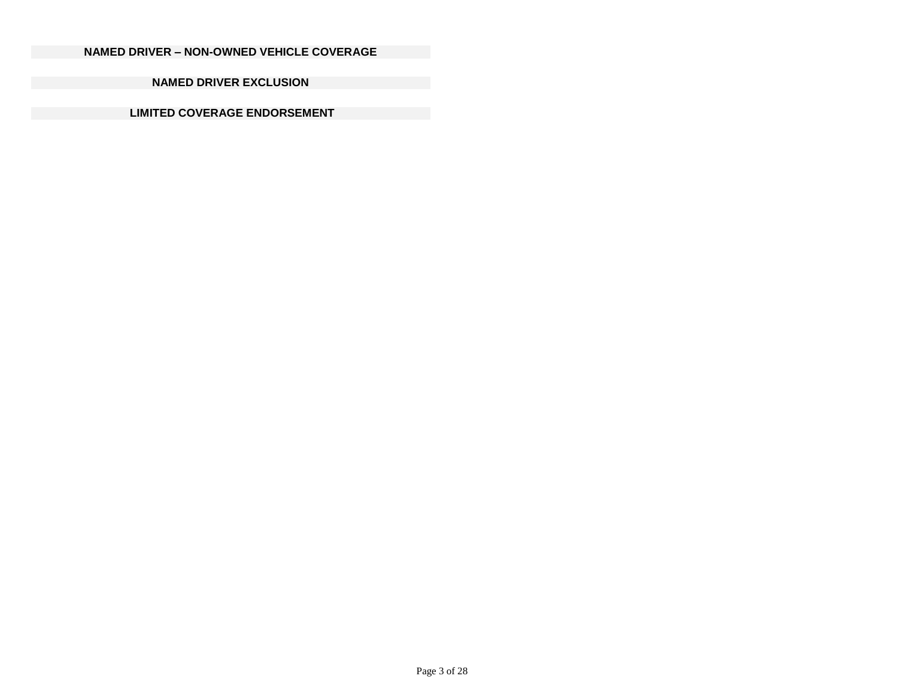## **NAMED DRIVER – NON-OWNED VEHICLE COVERAGE**

**NAMED DRIVER EXCLUSION** 

**LIMITED COVERAGE ENDORSEMENT**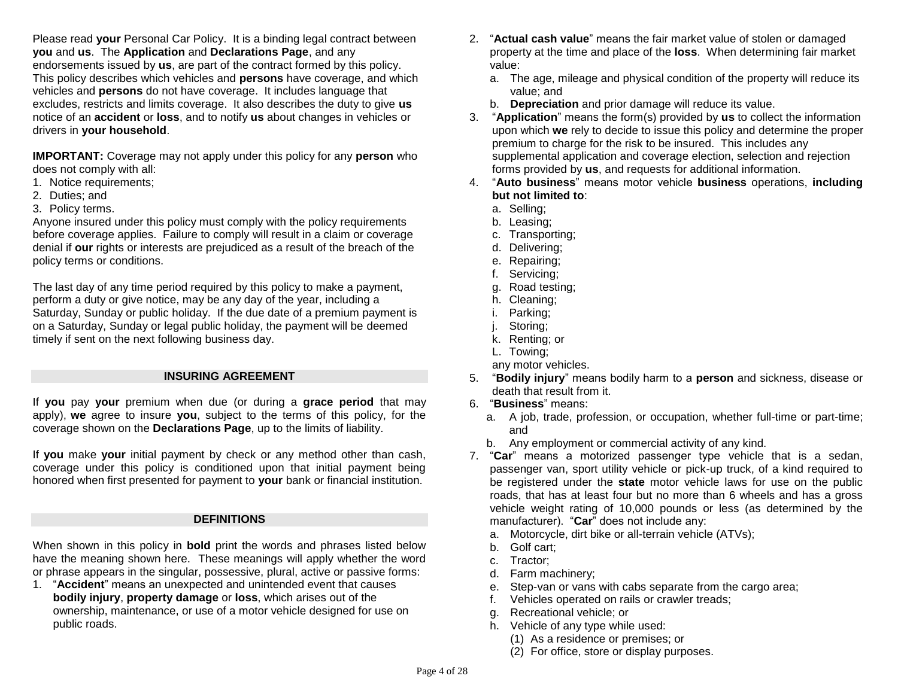Please read **your** Personal Car Policy. It is a binding legal contract between **you** and **us**. The **Application** and **Declarations Page**, and any endorsements issued by **us**, are part of the contract formed by this policy. This policy describes which vehicles and **persons** have coverage, and which vehicles and **persons** do not have coverage. It includes language that excludes, restricts and limits coverage. It also describes the duty to give **us** notice of an **accident** or **loss**, and to notify **us** about changes in vehicles or drivers in **your household**.

**IMPORTANT:** Coverage may not apply under this policy for any **person** who does not comply with all:

- 1. Notice requirements;
- 2. Duties; and
- 3. Policy terms.

Anyone insured under this policy must comply with the policy requirements before coverage applies. Failure to comply will result in a claim or coverage denial if **our** rights or interests are prejudiced as a result of the breach of the policy terms or conditions.

The last day of any time period required by this policy to make a payment, perform a duty or give notice, may be any day of the year, including a Saturday, Sunday or public holiday. If the due date of a premium payment is on a Saturday, Sunday or legal public holiday, the payment will be deemed timely if sent on the next following business day.

### **INSURING AGREEMENT**

If **you** pay **your** premium when due (or during a **grace period** that may apply), **we** agree to insure **you**, subject to the terms of this policy, for the coverage shown on the **Declarations Page**, up to the limits of liability.

If **you** make **your** initial payment by check or any method other than cash, coverage under this policy is conditioned upon that initial payment being honored when first presented for payment to **your** bank or financial institution.

#### **DEFINITIONS**

When shown in this policy in **bold** print the words and phrases listed below have the meaning shown here. These meanings will apply whether the word or phrase appears in the singular, possessive, plural, active or passive forms:

1. "**Accident**" means an unexpected and unintended event that causes **bodily injury**, **property damage** or **loss**, which arises out of the ownership, maintenance, or use of a motor vehicle designed for use on public roads.

- 2. "**Actual cash value**" means the fair market value of stolen or damaged property at the time and place of the **loss**.When determining fair market value:
	- a. The age, mileage and physical condition of the property will reduce its value; and
	- b. **Depreciation** and prior damage will reduce its value.
- 3. "**Application**" means the form(s) provided by **us** to collect the information upon which **we** rely to decide to issue this policy and determine the proper premium to charge for the risk to be insured. This includes any supplemental application and coverage election, selection and rejection forms provided by **us**, and requests for additional information.
- 4. "**Auto business**" means motor vehicle **business** operations, **including but not limited to**:
	- a. Selling;
	- b. Leasing;
	- c. Transporting;
	- d. Delivering;
	- e. Repairing;
	- f. Servicing;
	- g. Road testing;
	- h. Cleaning;
	- i. Parking;
	- j. Storing;
	- k. Renting; or
	- L. Towing;
	- any motor vehicles.
- 5. "**Bodily injury**" means bodily harm to a **person** and sickness, disease or death that result from it.
- 6. "**Business**" means:
	- a. A job, trade, profession, or occupation, whether full-time or part-time; and
	- b. Any employment or commercial activity of any kind.
- 7. "**Car**" means a motorized passenger type vehicle that is a sedan, passenger van, sport utility vehicle or pick-up truck, of a kind required to be registered under the **state** motor vehicle laws for use on the public roads, that has at least four but no more than 6 wheels and has a gross vehicle weight rating of 10,000 pounds or less (as determined by the manufacturer). "**Car**" does not include any:
	- a. Motorcycle, dirt bike or all-terrain vehicle (ATVs);
	- b. Golf cart;
	- c. Tractor;
	- d. Farm machinery;
	- e. Step-van or vans with cabs separate from the cargo area;
	- f. Vehicles operated on rails or crawler treads;
	- g. Recreational vehicle; or
	- h. Vehicle of any type while used:
		- (1) As a residence or premises; or
		- (2) For office, store or display purposes.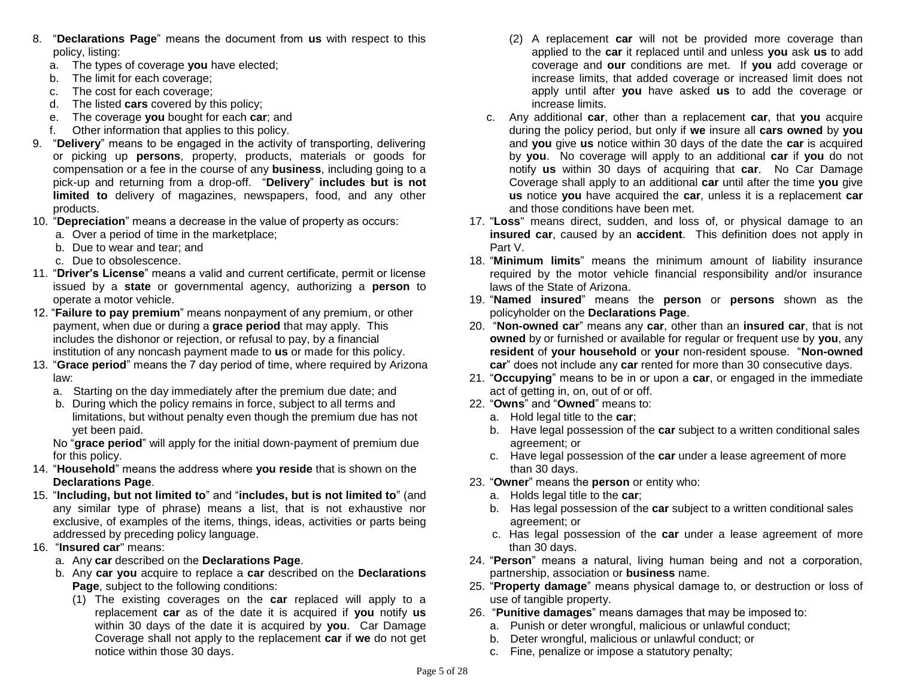- 8. "**Declarations Page**" means the document from **us** with respect to this policy, listing:
	- a. The types of coverage **you** have elected;
	- b. The limit for each coverage;
	- c. The cost for each coverage;
	- d. The listed **cars** covered by this policy;
	- e. The coverage **you** bought for each **car**; and
	- f. Other information that applies to this policy.
- 9. "**Delivery**" means to be engaged in the activity of transporting, delivering or picking up **persons**, property, products, materials or goods for compensation or a fee in the course of any **business**, including going to a pick-up and returning from a drop-off. "**Delivery**" **includes but is not limited to** delivery of magazines, newspapers, food, and any other products.
- 10. "**Depreciation**" means a decrease in the value of property as occurs:
	- a. Over a period of time in the marketplace;
	- b. Due to wear and tear; and
	- c. Due to obsolescence.
- 11. "**Driver's License**" means a valid and current certificate, permit or license issued by a **state** or governmental agency, authorizing a **person** to operate a motor vehicle.
- 12. "**Failure to pay premium**" means nonpayment of any premium, or other payment, when due or during a **grace period** that may apply. This includes the dishonor or rejection, or refusal to pay, by a financial institution of any noncash payment made to **us** or made for this policy.
- 13. "**Grace period**" means the 7 day period of time, where required by Arizona law:
	- a. Starting on the day immediately after the premium due date; and
	- b. During which the policy remains in force, subject to all terms and limitations, but without penalty even though the premium due has not yet been paid.

No "**grace period**" will apply for the initial down-payment of premium due for this policy.

- 14. "**Household**" means the address where **you reside** that is shown on the **Declarations Page**.
- 15. "**Including, but not limited to**" and "**includes, but is not limited to**" (and any similar type of phrase) means a list, that is not exhaustive nor exclusive, of examples of the items, things, ideas, activities or parts being addressed by preceding policy language.
- 16. "**Insured car**" means:
	- a. Any **car** described on the **Declarations Page**.
	- b. Any **car you** acquire to replace a **car** described on the **Declarations Page**, subject to the following conditions:
		- (1) The existing coverages on the **car** replaced will apply to a replacement **car** as of the date it is acquired if **you** notify **us**  within 30 days of the date it is acquired by **you**. Car Damage Coverage shall not apply to the replacement **car** if **we** do not get notice within those 30 days.
- (2) A replacement **car** will not be provided more coverage than applied to the **car** it replaced until and unless **you** ask **us** to add coverage and **our** conditions are met. If **you** add coverage or increase limits, that added coverage or increased limit does not apply until after **you** have asked **us** to add the coverage or increase limits.
- c. Any additional **car**, other than a replacement **car**, that **you** acquire during the policy period, but only if **we** insure all **cars owned** by **you** and **you** give **us** notice within 30 days of the date the **car** is acquired by **you**. No coverage will apply to an additional **car** if **you** do not notify **us** within 30 days of acquiring that **car**. No Car Damage Coverage shall apply to an additional **car** until after the time **you** give **us** notice **you** have acquired the **car**, unless it is a replacement **car**  and those conditions have been met.
- 17. "**Loss**" means direct, sudden, and loss of, or physical damage to an **insured car**, caused by an **accident**. This definition does not apply in Part V.
- 18. "**Minimum limits**" means the minimum amount of liability insurance required by the motor vehicle financial responsibility and/or insurance laws of the State of Arizona.
- 19. "**Named insured**" means the **person** or **persons** shown as the policyholder on the **Declarations Page**.
- 20. "**Non-owned car**" means any **car**, other than an **insured car**, that is not **owned** by or furnished or available for regular or frequent use by **you**, any **resident** of **your household** or **your** non-resident spouse. "**Non-owned car**" does not include any **car** rented for more than 30 consecutive days.
- 21. "**Occupying**" means to be in or upon a **car**, or engaged in the immediate act of getting in, on, out of or off.
- 22. "**Owns**" and "**Owned**" means to:
	- a. Hold legal title to the **car**;
	- b. Have legal possession of the **car** subject to a written conditional sales agreement; or
	- c. Have legal possession of the **car** under a lease agreement of more than 30 days.
- 23. "**Owner**" means the **person** or entity who:
	- a. Holds legal title to the **car**;
	- b. Has legal possession of the **car** subject to a written conditional sales agreement; or
	- c. Has legal possession of the **car** under a lease agreement of more than 30 days.
- 24. "**Person**" means a natural, living human being and not a corporation, partnership, association or **business** name.
- 25. "**Property damage**" means physical damage to, or destruction or loss of use of tangible property.
- 26. "**Punitive damages**" means damages that may be imposed to:
	- a. Punish or deter wrongful, malicious or unlawful conduct;
	- b. Deter wrongful, malicious or unlawful conduct; or
	- c. Fine, penalize or impose a statutory penalty;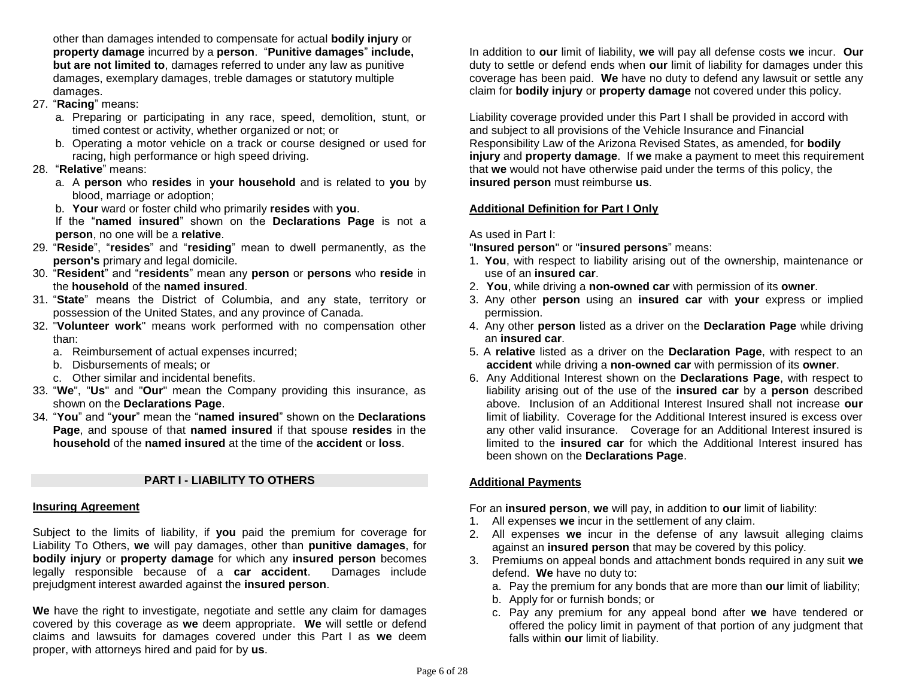other than damages intended to compensate for actual **bodily injury** or **property damage** incurred by a **person**. "**Punitive damages**" **include, but are not limited to**, damages referred to under any law as punitive damages, exemplary damages, treble damages or statutory multiple damages.

- 27. "**Racing**" means:
	- a. Preparing or participating in any race, speed, demolition, stunt, or timed contest or activity, whether organized or not; or
	- b. Operating a motor vehicle on a track or course designed or used for racing, high performance or high speed driving.

### 28. "**Relative**" means:

- a. A **person** who **resides** in **your household** and is related to **you** by blood, marriage or adoption;
- b. **Your** ward or foster child who primarily **resides** with **you**.

If the "**named insured**" shown on the **Declarations Page** is not a **person**, no one will be a **relative**.

- 29. "**Reside**", "**resides**" and "**residing**" mean to dwell permanently, as the **person's** primary and legal domicile.
- 30. "**Resident**" and "**residents**" mean any **person** or **persons** who **reside** in the **household** of the **named insured**.
- 31. "**State**" means the District of Columbia, and any state, territory or possession of the United States, and any province of Canada.
- 32. "**Volunteer work**" means work performed with no compensation other than:
	- a. Reimbursement of actual expenses incurred;
	- b. Disbursements of meals; or
	- c. Other similar and incidental benefits.
- 33. "**We**", "**Us**" and "**Our**" mean the Company providing this insurance, as shown on the **Declarations Page**.
- 34. "**You**" and "**your**" mean the "**named insured**" shown on the **Declarations Page**, and spouse of that **named insured** if that spouse **resides** in the **household** of the **named insured** at the time of the **accident** or **loss**.

## **PART I - LIABILITY TO OTHERS**

#### **Insuring Agreement**

Subject to the limits of liability, if **you** paid the premium for coverage for Liability To Others, **we** will pay damages, other than **punitive damages**, for **bodily injury** or **property damage** for which any **insured person** becomes legally responsible because of a **car accident**. Damages include prejudgment interest awarded against the **insured person**.

**We** have the right to investigate, negotiate and settle any claim for damages covered by this coverage as **we** deem appropriate. **We** will settle or defend claims and lawsuits for damages covered under this Part I as **we** deem proper, with attorneys hired and paid for by **us**.

In addition to **our** limit of liability, **we** will pay all defense costs **we** incur. **Our** duty to settle or defend ends when **our** limit of liability for damages under this coverage has been paid. **We** have no duty to defend any lawsuit or settle any claim for **bodily injury** or **property damage** not covered under this policy.

Liability coverage provided under this Part I shall be provided in accord with and subject to all provisions of the Vehicle Insurance and Financial Responsibility Law of the Arizona Revised States, as amended, for **bodily injury** and **property damage**. If **we** make a payment to meet this requirement that **we** would not have otherwise paid under the terms of this policy, the **insured person** must reimburse **us**.

## **Additional Definition for Part I Only**

## As used in Part I:

"**Insured person**" or "**insured persons**" means:

- 1. **You**, with respect to liability arising out of the ownership, maintenance or use of an **insured car**.
- 2. **You**, while driving a **non-owned car** with permission of its **owner**.
- 3. Any other **person** using an **insured car** with **your** express or implied permission.
- 4. Any other **person** listed as a driver on the **Declaration Page** while driving an **insured car**.
- 5. A **relative** listed as a driver on the **Declaration Page**, with respect to an **accident** while driving a **non-owned car** with permission of its **owner**.
- 6. Any Additional Interest shown on the **Declarations Page**, with respect to liability arising out of the use of the **insured car** by a **person** described above. Inclusion of an Additional Interest Insured shall not increase **our** limit of liability. Coverage for the Additional Interest insured is excess over any other valid insurance. Coverage for an Additional Interest insured is limited to the **insured car** for which the Additional Interest insured has been shown on the **Declarations Page**.

## **Additional Payments**

For an **insured person**, **we** will pay, in addition to **our** limit of liability:

- 1. All expenses **we** incur in the settlement of any claim.
- 2. All expenses **we** incur in the defense of any lawsuit alleging claims against an **insured person** that may be covered by this policy.
- 3. Premiums on appeal bonds and attachment bonds required in any suit **we**  defend. **We** have no duty to:
	- a. Pay the premium for any bonds that are more than **our** limit of liability;
	- b. Apply for or furnish bonds; or
	- c. Pay any premium for any appeal bond after **we** have tendered or offered the policy limit in payment of that portion of any judgment that falls within **our** limit of liability.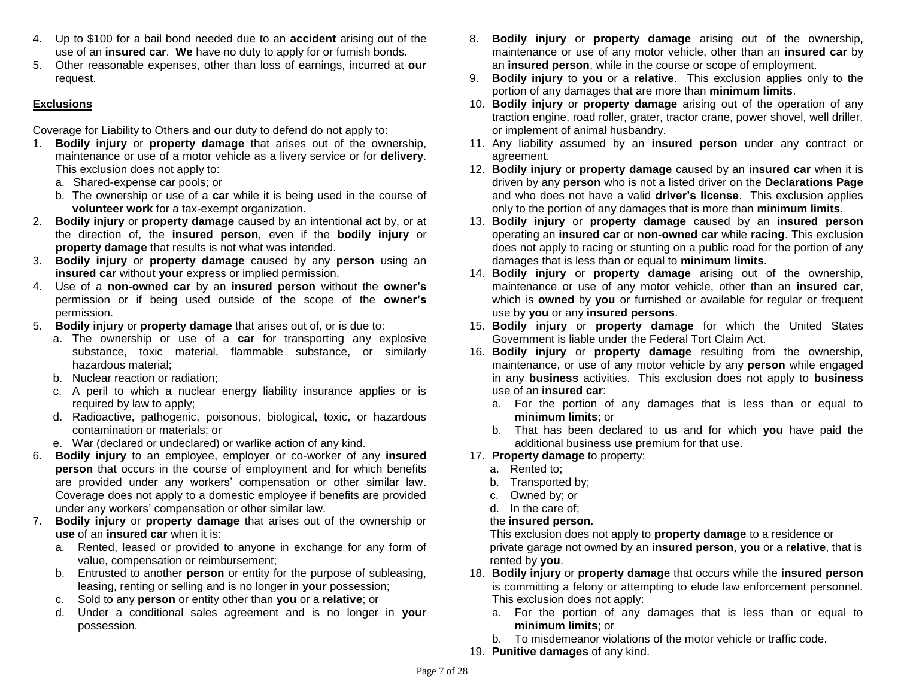- 4. Up to \$100 for a bail bond needed due to an **accident** arising out of the use of an **insured car**. **We** have no duty to apply for or furnish bonds.
- 5. Other reasonable expenses, other than loss of earnings, incurred at **our** request.

### **Exclusions**

Coverage for Liability to Others and **our** duty to defend do not apply to:

- 1. **Bodily injury** or **property damage** that arises out of the ownership, maintenance or use of a motor vehicle as a livery service or for **delivery**. This exclusion does not apply to:
	- a. Shared-expense car pools; or
	- b. The ownership or use of a **car** while it is being used in the course of **volunteer work** for a tax-exempt organization.
- 2. **Bodily injury** or **property damage** caused by an intentional act by, or at the direction of, the **insured person**, even if the **bodily injury** or **property damage** that results is not what was intended.
- 3. **Bodily injury** or **property damage** caused by any **person** using an **insured car** without **your** express or implied permission.
- 4. Use of a **non-owned car** by an **insured person** without the **owner's** permission or if being used outside of the scope of the **owner's** permission.
- 5. **Bodily injury** or **property damage** that arises out of, or is due to:
	- a. The ownership or use of a **car** for transporting any explosive substance, toxic material, flammable substance, or similarly hazardous material;
	- b. Nuclear reaction or radiation;
	- c. A peril to which a nuclear energy liability insurance applies or is required by law to apply;
	- d. Radioactive, pathogenic, poisonous, biological, toxic, or hazardous contamination or materials; or
	- e. War (declared or undeclared) or warlike action of any kind.
- 6. **Bodily injury** to an employee, employer or co-worker of any **insured person** that occurs in the course of employment and for which benefits are provided under any workers' compensation or other similar law. Coverage does not apply to a domestic employee if benefits are provided under any workers' compensation or other similar law.
- 7. **Bodily injury** or **property damage** that arises out of the ownership or **use** of an **insured car** when it is:
	- a. Rented, leased or provided to anyone in exchange for any form of value, compensation or reimbursement;
	- b. Entrusted to another **person** or entity for the purpose of subleasing, leasing, renting or selling and is no longer in **your** possession;
	- c. Sold to any **person** or entity other than **you** or a **relative**; or
	- d. Under a conditional sales agreement and is no longer in **your**  possession.
- 8. **Bodily injury** or **property damage** arising out of the ownership, maintenance or use of any motor vehicle, other than an **insured car** by an **insured person**, while in the course or scope of employment.
- 9. **Bodily injury** to **you** or a **relative**. This exclusion applies only to the portion of any damages that are more than **minimum limits**.
- 10. **Bodily injury** or **property damage** arising out of the operation of any traction engine, road roller, grater, tractor crane, power shovel, well driller, or implement of animal husbandry.
- 11. Any liability assumed by an **insured person** under any contract or agreement.
- 12. **Bodily injury** or **property damage** caused by an **insured car** when it is driven by any **person** who is not a listed driver on the **Declarations Page**  and who does not have a valid **driver's license**. This exclusion applies only to the portion of any damages that is more than **minimum limits**.
- 13. **Bodily injury** or **property damage** caused by an **insured person**  operating an **insured car** or **non-owned car** while **racing**. This exclusion does not apply to racing or stunting on a public road for the portion of any damages that is less than or equal to **minimum limits**.
- 14. **Bodily injury** or **property damage** arising out of the ownership, maintenance or use of any motor vehicle, other than an **insured car**, which is **owned** by **you** or furnished or available for regular or frequent use by **you** or any **insured persons**.
- 15. **Bodily injury** or **property damage** for which the United States Government is liable under the Federal Tort Claim Act.
- 16. **Bodily injury** or **property damage** resulting from the ownership, maintenance, or use of any motor vehicle by any **person** while engaged in any **business** activities. This exclusion does not apply to **business** use of an **insured car**:
	- a. For the portion of any damages that is less than or equal to **minimum limits**; or
	- b. That has been declared to **us** and for which **you** have paid the additional business use premium for that use.
- 17. **Property damage** to property:
	- a. Rented to;
	- b. Transported by;
	- c. Owned by; or
	- d. In the care of;

## the **insured person**.

This exclusion does not apply to **property damage** to a residence or private garage not owned by an **insured person**, **you** or a **relative**, that is rented by **you**.

- 18. **Bodily injury** or **property damage** that occurs while the **insured person** is committing a felony or attempting to elude law enforcement personnel. This exclusion does not apply:
	- a. For the portion of any damages that is less than or equal to **minimum limits**; or
	- b. To misdemeanor violations of the motor vehicle or traffic code.
- 19. **Punitive damages** of any kind.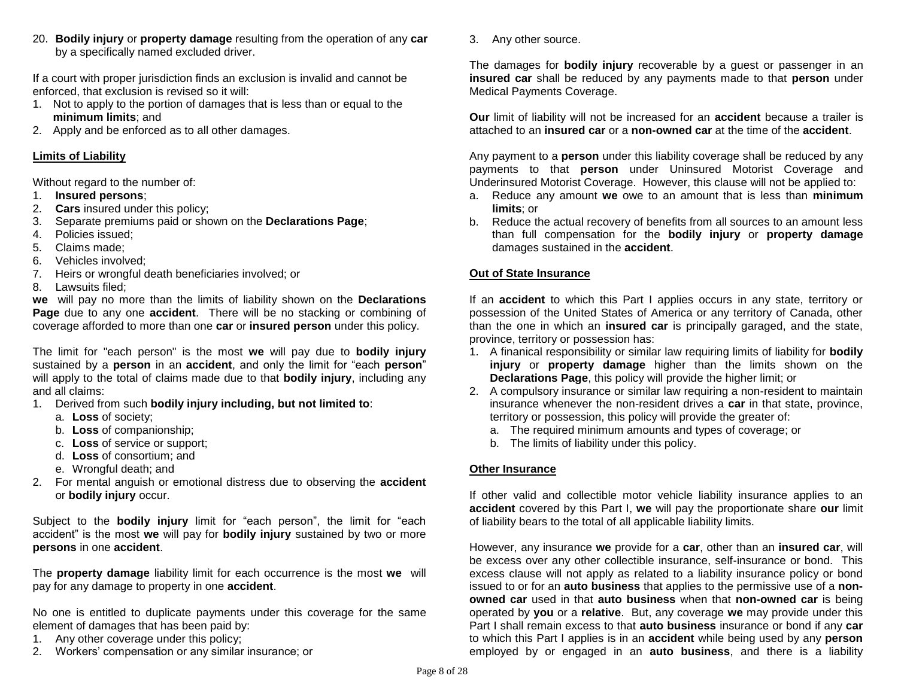20. **Bodily injury** or **property damage** resulting from the operation of any **car** by a specifically named excluded driver.

If a court with proper jurisdiction finds an exclusion is invalid and cannot be enforced, that exclusion is revised so it will:

- 1. Not to apply to the portion of damages that is less than or equal to the **minimum limits**; and
- 2. Apply and be enforced as to all other damages.

## **Limits of Liability**

Without regard to the number of:

- 1. **Insured persons**;
- 2. **Cars** insured under this policy;
- 3. Separate premiums paid or shown on the **Declarations Page**;
- 4. Policies issued;
- 5. Claims made;
- 6. Vehicles involved;
- 7. Heirs or wrongful death beneficiaries involved; or
- 8. Lawsuits filed;

**we** will pay no more than the limits of liability shown on the **Declarations Page** due to any one **accident**. There will be no stacking or combining of coverage afforded to more than one **car** or **insured person** under this policy.

The limit for "each person" is the most **we** will pay due to **bodily injury** sustained by a **person** in an **accident**, and only the limit for "each **person**" will apply to the total of claims made due to that **bodily injury**, including any and all claims:

- 1. Derived from such **bodily injury including, but not limited to**:
	- a. **Loss** of society;
	- b. **Loss** of companionship;
	- c. **Loss** of service or support;
	- d. **Loss** of consortium; and
	- e. Wrongful death; and
- 2. For mental anguish or emotional distress due to observing the **accident** or **bodily injury** occur.

Subject to the **bodily injury** limit for "each person", the limit for "each accident" is the most **we** will pay for **bodily injury** sustained by two or more **persons** in one **accident**.

The **property damage** liability limit for each occurrence is the most **we** will pay for any damage to property in one **accident**.

No one is entitled to duplicate payments under this coverage for the same element of damages that has been paid by:

- 1. Any other coverage under this policy;
- 2. Workers' compensation or any similar insurance; or

3. Any other source.

The damages for **bodily injury** recoverable by a guest or passenger in an **insured car** shall be reduced by any payments made to that **person** under Medical Payments Coverage.

**Our** limit of liability will not be increased for an **accident** because a trailer is attached to an **insured car** or a **non-owned car** at the time of the **accident**.

Any payment to a **person** under this liability coverage shall be reduced by any payments to that **person** under Uninsured Motorist Coverage and Underinsured Motorist Coverage. However, this clause will not be applied to:

- a. Reduce any amount **we** owe to an amount that is less than **minimum limits**; or
- b. Reduce the actual recovery of benefits from all sources to an amount less than full compensation for the **bodily injury** or **property damage** damages sustained in the **accident**.

## **Out of State Insurance**

If an **accident** to which this Part I applies occurs in any state, territory or possession of the United States of America or any territory of Canada, other than the one in which an **insured car** is principally garaged, and the state, province, territory or possession has:

- 1. A finanical responsibility or similar law requiring limits of liability for **bodily injury** or **property damage** higher than the limits shown on the **Declarations Page**, this policy will provide the higher limit; or
- 2. A compulsory insurance or similar law requiring a non-resident to maintain insurance whenever the non-resident drives a **car** in that state, province, territory or possession, this policy will provide the greater of:
	- a. The required minimum amounts and types of coverage; or
	- b. The limits of liability under this policy.

## **Other Insurance**

If other valid and collectible motor vehicle liability insurance applies to an **accident** covered by this Part I, **we** will pay the proportionate share **our** limit of liability bears to the total of all applicable liability limits.

However, any insurance **we** provide for a **car**, other than an **insured car**, will be excess over any other collectible insurance, self-insurance or bond. This excess clause will not apply as related to a liability insurance policy or bond issued to or for an **auto business** that applies to the permissive use of a **nonowned car** used in that **auto business** when that **non-owned car** is being operated by **you** or a **relative**. But, any coverage **we** may provide under this Part I shall remain excess to that **auto business** insurance or bond if any **car** to which this Part I applies is in an **accident** while being used by any **person** employed by or engaged in an **auto business**, and there is a liability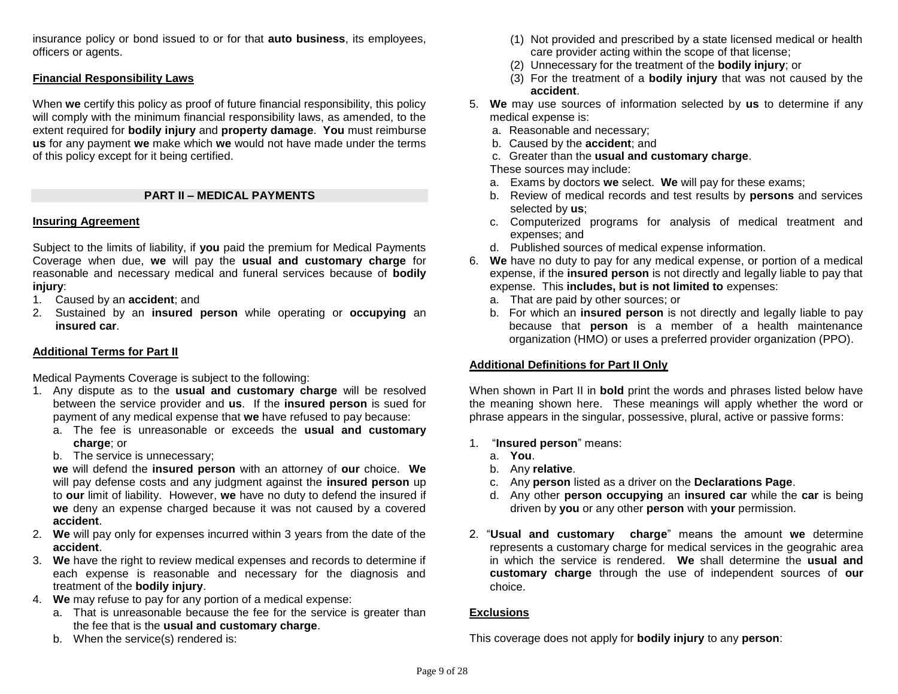insurance policy or bond issued to or for that **auto business**, its employees, officers or agents.

### **Financial Responsibility Laws**

When **we** certify this policy as proof of future financial responsibility, this policy will comply with the minimum financial responsibility laws, as amended, to the extent required for **bodily injury** and **property damage**. **You** must reimburse **us** for any payment **we** make which **we** would not have made under the terms of this policy except for it being certified.

## **PART II – MEDICAL PAYMENTS**

#### **Insuring Agreement**

Subject to the limits of liability, if **you** paid the premium for Medical Payments Coverage when due, **we** will pay the **usual and customary charge** for reasonable and necessary medical and funeral services because of **bodily injury**:

- 1. Caused by an **accident**; and
- 2. Sustained by an **insured person** while operating or **occupying** an **insured car**.

### **Additional Terms for Part II**

Medical Payments Coverage is subject to the following:

- 1. Any dispute as to the **usual and customary charge** will be resolved between the service provider and **us**. If the **insured person** is sued for payment of any medical expense that **we** have refused to pay because:
	- a. The fee is unreasonable or exceeds the **usual and customary charge**; or
	- b. The service is unnecessary;

**we** will defend the **insured person** with an attorney of **our** choice. **We** will pay defense costs and any judgment against the **insured person** up to **our** limit of liability. However, **we** have no duty to defend the insured if **we** deny an expense charged because it was not caused by a covered **accident**.

- 2. **We** will pay only for expenses incurred within 3 years from the date of the **accident**.
- 3. **We** have the right to review medical expenses and records to determine if each expense is reasonable and necessary for the diagnosis and treatment of the **bodily injury**.
- 4. **We** may refuse to pay for any portion of a medical expense:
	- a. That is unreasonable because the fee for the service is greater than the fee that is the **usual and customary charge**.
	- b. When the service(s) rendered is:
- (1) Not provided and prescribed by a state licensed medical or health care provider acting within the scope of that license;
- (2) Unnecessary for the treatment of the **bodily injury**; or
- (3) For the treatment of a **bodily injury** that was not caused by the **accident**.
- 5. **We** may use sources of information selected by **us** to determine if any medical expense is:
	- a. Reasonable and necessary;
	- b. Caused by the **accident**; and
	- c. Greater than the **usual and customary charge**.
	- These sources may include:
	- a. Exams by doctors **we** select. **We** will pay for these exams;
	- b. Review of medical records and test results by **persons** and services selected by **us**;
	- c. Computerized programs for analysis of medical treatment and expenses; and
	- d. Published sources of medical expense information.
- 6. **We** have no duty to pay for any medical expense, or portion of a medical expense, if the **insured person** is not directly and legally liable to pay that expense. This **includes, but is not limited to** expenses:
	- a. That are paid by other sources; or
	- b. For which an **insured person** is not directly and legally liable to pay because that **person** is a member of a health maintenance organization (HMO) or uses a preferred provider organization (PPO).

## **Additional Definitions for Part II Only**

When shown in Part II in **bold** print the words and phrases listed below have the meaning shown here. These meanings will apply whether the word or phrase appears in the singular, possessive, plural, active or passive forms:

- 1. "**Insured person**" means:
	- a. **You**.
	- b. Any **relative**.
	- c. Any **person** listed as a driver on the **Declarations Page**.
	- d. Any other **person occupying** an **insured car** while the **car** is being driven by **you** or any other **person** with **your** permission.
- 2. "**Usual and customary charge**" means the amount **we** determine represents a customary charge for medical services in the geograhic area in which the service is rendered. **We** shall determine the **usual and customary charge** through the use of independent sources of **our** choice.

#### **Exclusions**

This coverage does not apply for **bodily injury** to any **person**: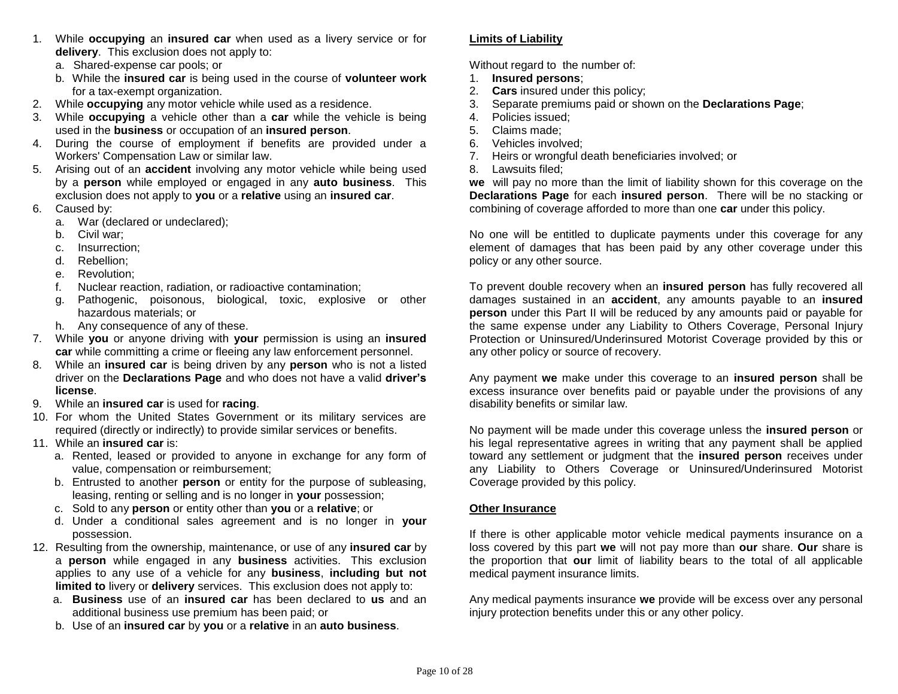- 1. While **occupying** an **insured car** when used as a livery service or for **delivery**. This exclusion does not apply to:
	- a. Shared-expense car pools; or
	- b. While the **insured car** is being used in the course of **volunteer work** for a tax-exempt organization.
- 2. While **occupying** any motor vehicle while used as a residence.
- 3. While **occupying** a vehicle other than a **car** while the vehicle is being used in the **business** or occupation of an **insured person**.
- 4. During the course of employment if benefits are provided under a Workers' Compensation Law or similar law.
- 5. Arising out of an **accident** involving any motor vehicle while being used by a **person** while employed or engaged in any **auto business**. This exclusion does not apply to **you** or a **relative** using an **insured car**.
- 6. Caused by:
	- a. War (declared or undeclared);
	- b. Civil war;
	- c. Insurrection;
	- d. Rebellion;
	- e. Revolution;
	- f. Nuclear reaction, radiation, or radioactive contamination;
	- g. Pathogenic, poisonous, biological, toxic, explosive or other hazardous materials; or
	- h. Any consequence of any of these.
- 7. While **you** or anyone driving with **your** permission is using an **insured car** while committing a crime or fleeing any law enforcement personnel.
- 8. While an **insured car** is being driven by any **person** who is not a listed driver on the **Declarations Page** and who does not have a valid **driver's license**.
- 9. While an **insured car** is used for **racing**.
- 10. For whom the United States Government or its military services are required (directly or indirectly) to provide similar services or benefits.
- 11. While an **insured car** is:
	- a. Rented, leased or provided to anyone in exchange for any form of value, compensation or reimbursement;
	- b. Entrusted to another **person** or entity for the purpose of subleasing, leasing, renting or selling and is no longer in **your** possession;
	- c. Sold to any **person** or entity other than **you** or a **relative**; or
	- d. Under a conditional sales agreement and is no longer in **your**  possession.
- 12. Resulting from the ownership, maintenance, or use of any **insured car** by a **person** while engaged in any **business** activities. This exclusion applies to any use of a vehicle for any **business**, **including but not limited to** livery or **delivery** services. This exclusion does not apply to:
	- a. **Business** use of an **insured car** has been declared to **us** and an additional business use premium has been paid; or
	- b. Use of an **insured car** by **you** or a **relative** in an **auto business**.

## **Limits of Liability**

Without regard to the number of:

- 1. **Insured persons**;
- 2. **Cars** insured under this policy;
- 3. Separate premiums paid or shown on the **Declarations Page**;
- 4. Policies issued;
- 5. Claims made;
- 6. Vehicles involved;
- 7. Heirs or wrongful death beneficiaries involved; or
- 8. Lawsuits filed;

**we** will pay no more than the limit of liability shown for this coverage on the **Declarations Page** for each **insured person**. There will be no stacking or combining of coverage afforded to more than one **car** under this policy.

No one will be entitled to duplicate payments under this coverage for any element of damages that has been paid by any other coverage under this policy or any other source.

To prevent double recovery when an **insured person** has fully recovered all damages sustained in an **accident**, any amounts payable to an **insured person** under this Part II will be reduced by any amounts paid or payable for the same expense under any Liability to Others Coverage, Personal Injury Protection or Uninsured/Underinsured Motorist Coverage provided by this or any other policy or source of recovery.

Any payment **we** make under this coverage to an **insured person** shall be excess insurance over benefits paid or payable under the provisions of any disability benefits or similar law.

No payment will be made under this coverage unless the **insured person** or his legal representative agrees in writing that any payment shall be applied toward any settlement or judgment that the **insured person** receives under any Liability to Others Coverage or Uninsured/Underinsured Motorist Coverage provided by this policy.

## **Other Insurance**

If there is other applicable motor vehicle medical payments insurance on a loss covered by this part **we** will not pay more than **our** share. **Our** share is the proportion that **our** limit of liability bears to the total of all applicable medical payment insurance limits.

Any medical payments insurance **we** provide will be excess over any personal injury protection benefits under this or any other policy.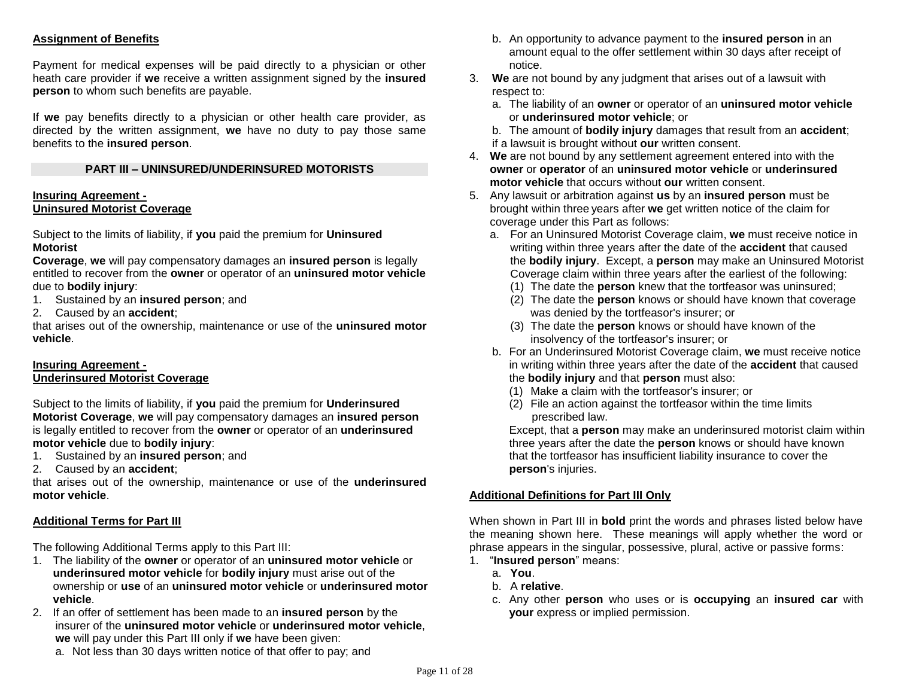## **Assignment of Benefits**

Payment for medical expenses will be paid directly to a physician or other heath care provider if **we** receive a written assignment signed by the **insured person** to whom such benefits are payable.

If **we** pay benefits directly to a physician or other health care provider, as directed by the written assignment, **we** have no duty to pay those same benefits to the **insured person**.

### **PART III – UNINSURED/UNDERINSURED MOTORISTS**

#### **Insuring Agreement - Uninsured Motorist Coverage**

Subject to the limits of liability, if **you** paid the premium for **Uninsured Motorist** 

**Coverage**, **we** will pay compensatory damages an **insured person** is legally entitled to recover from the **owner** or operator of an **uninsured motor vehicle** due to **bodily injury**:

- 1. Sustained by an **insured person**; and
- 2. Caused by an **accident**;

that arises out of the ownership, maintenance or use of the **uninsured motor vehicle**.

## **Insuring Agreement - Underinsured Motorist Coverage**

Subject to the limits of liability, if **you** paid the premium for **Underinsured Motorist Coverage**, **we** will pay compensatory damages an **insured person** is legally entitled to recover from the **owner** or operator of an **underinsured motor vehicle** due to **bodily injury**:

- 1. Sustained by an **insured person**; and
- 2. Caused by an **accident**;

that arises out of the ownership, maintenance or use of the **underinsured motor vehicle**.

#### **Additional Terms for Part III**

The following Additional Terms apply to this Part III:

- 1. The liability of the **owner** or operator of an **uninsured motor vehicle** or **underinsured motor vehicle** for **bodily injury** must arise out of the ownership or **use** of an **uninsured motor vehicle** or **underinsured motor vehicle**.
- 2. If an offer of settlement has been made to an **insured person** by the insurer of the **uninsured motor vehicle** or **underinsured motor vehicle**, **we** will pay under this Part III only if **we** have been given:
	- a. Not less than 30 days written notice of that offer to pay; and
- b. An opportunity to advance payment to the **insured person** in an amount equal to the offer settlement within 30 days after receipt of notice.
- 3. **We** are not bound by any judgment that arises out of a lawsuit with respect to:
	- a. The liability of an **owner** or operator of an **uninsured motor vehicle** or **underinsured motor vehicle**; or
	- b. The amount of **bodily injury** damages that result from an **accident**; if a lawsuit is brought without **our** written consent.
- 4. **We** are not bound by any settlement agreement entered into with the **owner** or **operator** of an **uninsured motor vehicle** or **underinsured motor vehicle** that occurs without **our** written consent.
- 5. Any lawsuit or arbitration against **us** by an **insured person** must be brought within three years after **we** get written notice of the claim for coverage under this Part as follows:
	- a. For an Uninsured Motorist Coverage claim, **we** must receive notice in writing within three years after the date of the **accident** that caused the **bodily injury**. Except, a **person** may make an Uninsured Motorist Coverage claim within three years after the earliest of the following:
		- (1) The date the **person** knew that the tortfeasor was uninsured;
		- (2) The date the **person** knows or should have known that coverage was denied by the tortfeasor's insurer; or
		- (3) The date the **person** knows or should have known of the insolvency of the tortfeasor's insurer; or
	- b. For an Underinsured Motorist Coverage claim, **we** must receive notice in writing within three years after the date of the **accident** that caused the **bodily injury** and that **person** must also:
		- (1) Make a claim with the tortfeasor's insurer; or
		- (2) File an action against the tortfeasor within the time limits prescribed law.

Except, that a **person** may make an underinsured motorist claim within three years after the date the **person** knows or should have known that the tortfeasor has insufficient liability insurance to cover the **person**'s injuries.

## **Additional Definitions for Part III Only**

When shown in Part III in **bold** print the words and phrases listed below have the meaning shown here. These meanings will apply whether the word or phrase appears in the singular, possessive, plural, active or passive forms:

- 1. "**Insured person**" means:
	- a. **You**.
	- b. A **relative**.
	- c. Any other **person** who uses or is **occupying** an **insured car** with **your** express or implied permission.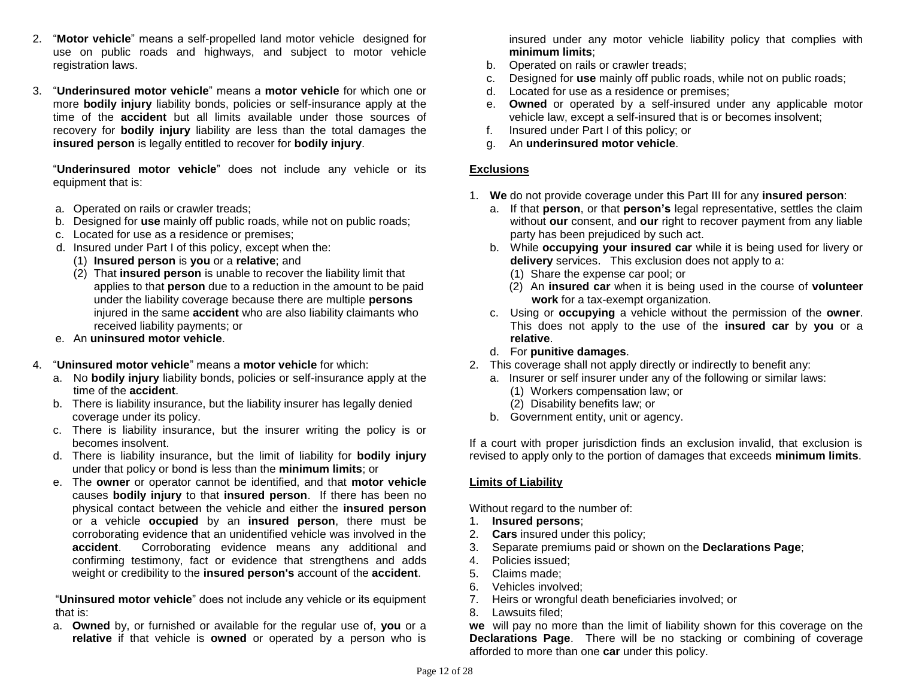- 2. "**Motor vehicle**" means a self-propelled land motor vehicle designed for use on public roads and highways, and subject to motor vehicle registration laws.
- 3. "**Underinsured motor vehicle**" means a **motor vehicle** for which one or more **bodily injury** liability bonds, policies or self-insurance apply at the time of the **accident** but all limits available under those sources of recovery for **bodily injury** liability are less than the total damages the **insured person** is legally entitled to recover for **bodily injury**.

"**Underinsured motor vehicle**" does not include any vehicle or its equipment that is:

- a. Operated on rails or crawler treads;
- b. Designed for **use** mainly off public roads, while not on public roads;
- c. Located for use as a residence or premises;
- d. Insured under Part I of this policy, except when the:
	- (1) **Insured person** is **you** or a **relative**; and
	- (2) That **insured person** is unable to recover the liability limit that applies to that **person** due to a reduction in the amount to be paid under the liability coverage because there are multiple **persons** injured in the same **accident** who are also liability claimants who received liability payments; or
- e. An **uninsured motor vehicle**.
- 4. "**Uninsured motor vehicle**" means a **motor vehicle** for which:
	- a. No **bodily injury** liability bonds, policies or self-insurance apply at the time of the **accident**.
	- b. There is liability insurance, but the liability insurer has legally denied coverage under its policy.
	- c. There is liability insurance, but the insurer writing the policy is or becomes insolvent.
	- d. There is liability insurance, but the limit of liability for **bodily injury** under that policy or bond is less than the **minimum limits**; or
	- e. The **owner** or operator cannot be identified, and that **motor vehicle** causes **bodily injury** to that **insured person**. If there has been no physical contact between the vehicle and either the **insured person** or a vehicle **occupied** by an **insured person**, there must be corroborating evidence that an unidentified vehicle was involved in the **accident**. Corroborating evidence means any additional and confirming testimony, fact or evidence that strengthens and adds weight or credibility to the **insured person's** account of the **accident**.

"**Uninsured motor vehicle**" does not include any vehicle or its equipment that is:

a. **Owned** by, or furnished or available for the regular use of, **you** or a **relative** if that vehicle is **owned** or operated by a person who is insured under any motor vehicle liability policy that complies with **minimum limits**;

- b. Operated on rails or crawler treads;
- c. Designed for **use** mainly off public roads, while not on public roads;
- d. Located for use as a residence or premises;
- e. **Owned** or operated by a self-insured under any applicable motor vehicle law, except a self-insured that is or becomes insolvent;
- f. Insured under Part I of this policy; or
- g. An **underinsured motor vehicle**.

#### **Exclusions**

- 1. **We** do not provide coverage under this Part III for any **insured person**:
	- a. If that **person**, or that **person's** legal representative, settles the claim without **our** consent, and **our** right to recover payment from any liable party has been prejudiced by such act.
	- b. While **occupying your insured car** while it is being used for livery or **delivery** services. This exclusion does not apply to a:
		- (1) Share the expense car pool; or
		- (2) An **insured car** when it is being used in the course of **volunteer work** for a tax-exempt organization.
	- c. Using or **occupying** a vehicle without the permission of the **owner**. This does not apply to the use of the **insured car** by **you** or a **relative**.
	- d. For **punitive damages**.
- 2. This coverage shall not apply directly or indirectly to benefit any:
	- a. Insurer or self insurer under any of the following or similar laws:
		- (1) Workers compensation law; or
		- (2) Disability benefits law; or
	- b. Government entity, unit or agency.

If a court with proper jurisdiction finds an exclusion invalid, that exclusion is revised to apply only to the portion of damages that exceeds **minimum limits**.

#### **Limits of Liability**

Without regard to the number of:

- 1. **Insured persons**;
- 2. **Cars** insured under this policy;
- 3. Separate premiums paid or shown on the **Declarations Page**;
- 4. Policies issued;
- 5. Claims made;
- 6. Vehicles involved;
- 7. Heirs or wrongful death beneficiaries involved; or
- 8. Lawsuits filed;

**we** will pay no more than the limit of liability shown for this coverage on the **Declarations Page**. There will be no stacking or combining of coverage afforded to more than one **car** under this policy.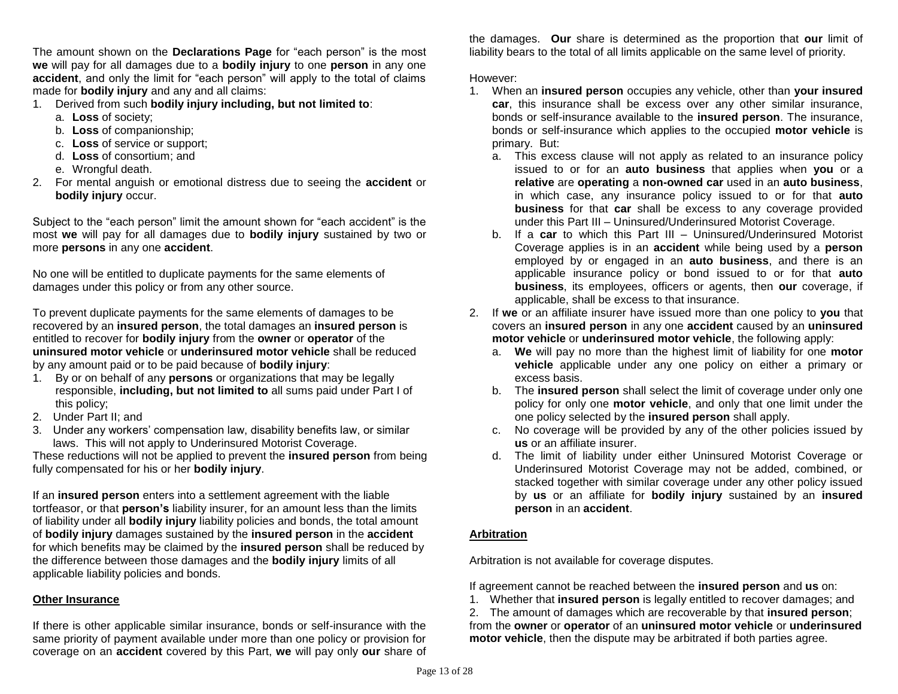The amount shown on the **Declarations Page** for "each person" is the most **we** will pay for all damages due to a **bodily injury** to one **person** in any one **accident**, and only the limit for "each person" will apply to the total of claims made for **bodily injury** and any and all claims:

- 1. Derived from such **bodily injury including, but not limited to**:
	- a. **Loss** of society;
	- b. **Loss** of companionship;
	- c. **Loss** of service or support;
	- d. **Loss** of consortium; and
	- e. Wrongful death.
- 2. For mental anguish or emotional distress due to seeing the **accident** or **bodily injury** occur.

Subject to the "each person" limit the amount shown for "each accident" is the most **we** will pay for all damages due to **bodily injury** sustained by two or more **persons** in any one **accident**.

No one will be entitled to duplicate payments for the same elements of damages under this policy or from any other source.

To prevent duplicate payments for the same elements of damages to be recovered by an **insured person**, the total damages an **insured person** is entitled to recover for **bodily injury** from the **owner** or **operator** of the **uninsured motor vehicle** or **underinsured motor vehicle** shall be reduced by any amount paid or to be paid because of **bodily injury**:

- 1. By or on behalf of any **persons** or organizations that may be legally responsible, **including, but not limited to** all sums paid under Part I of this policy;
- 2. Under Part II; and
- 3. Under any workers' compensation law, disability benefits law, or similar laws. This will not apply to Underinsured Motorist Coverage.

These reductions will not be applied to prevent the **insured person** from being fully compensated for his or her **bodily injury**.

If an **insured person** enters into a settlement agreement with the liable tortfeasor, or that **person's** liability insurer, for an amount less than the limits of liability under all **bodily injury** liability policies and bonds, the total amount of **bodily injury** damages sustained by the **insured person** in the **accident** for which benefits may be claimed by the **insured person** shall be reduced by the difference between those damages and the **bodily injury** limits of all applicable liability policies and bonds.

## **Other Insurance**

If there is other applicable similar insurance, bonds or self-insurance with the same priority of payment available under more than one policy or provision for coverage on an **accident** covered by this Part, **we** will pay only **our** share of

the damages. **Our** share is determined as the proportion that **our** limit of liability bears to the total of all limits applicable on the same level of priority.

However:

- 1. When an **insured person** occupies any vehicle, other than **your insured car**, this insurance shall be excess over any other similar insurance, bonds or self-insurance available to the **insured person**. The insurance, bonds or self-insurance which applies to the occupied **motor vehicle** is primary. But:
	- a. This excess clause will not apply as related to an insurance policy issued to or for an **auto business** that applies when **you** or a **relative** are **operating** a **non-owned car** used in an **auto business**, in which case, any insurance policy issued to or for that **auto business** for that **car** shall be excess to any coverage provided under this Part III – Uninsured/Underinsured Motorist Coverage.
	- b. If a **car** to which this Part III Uninsured/Underinsured Motorist Coverage applies is in an **accident** while being used by a **person** employed by or engaged in an **auto business**, and there is an applicable insurance policy or bond issued to or for that **auto business**, its employees, officers or agents, then **our** coverage, if applicable, shall be excess to that insurance.
- 2. If **we** or an affiliate insurer have issued more than one policy to **you** that covers an **insured person** in any one **accident** caused by an **uninsured motor vehicle** or **underinsured motor vehicle**, the following apply:
	- a. **We** will pay no more than the highest limit of liability for one **motor vehicle** applicable under any one policy on either a primary or excess basis.
	- b. The **insured person** shall select the limit of coverage under only one policy for only one **motor vehicle**, and only that one limit under the one policy selected by the **insured person** shall apply.
	- c. No coverage will be provided by any of the other policies issued by **us** or an affiliate insurer.
	- d. The limit of liability under either Uninsured Motorist Coverage or Underinsured Motorist Coverage may not be added, combined, or stacked together with similar coverage under any other policy issued by **us** or an affiliate for **bodily injury** sustained by an **insured person** in an **accident**.

## **Arbitration**

Arbitration is not available for coverage disputes.

If agreement cannot be reached between the **insured person** and **us** on:

1. Whether that **insured person** is legally entitled to recover damages; and

2. The amount of damages which are recoverable by that **insured person**; from the **owner** or **operator** of an **uninsured motor vehicle** or **underinsured motor vehicle**, then the dispute may be arbitrated if both parties agree.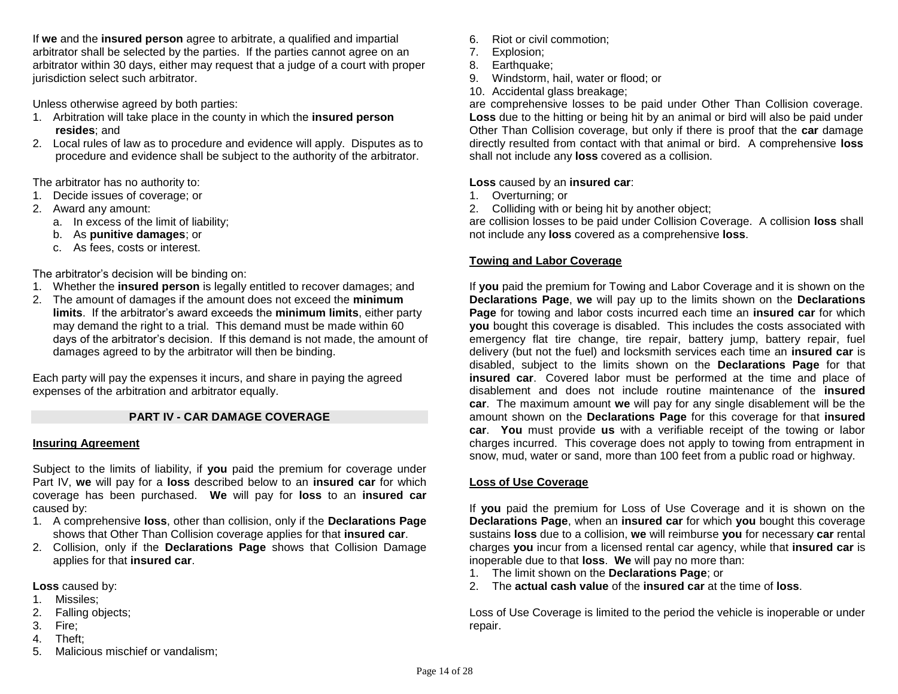If **we** and the **insured person** agree to arbitrate, a qualified and impartial arbitrator shall be selected by the parties. If the parties cannot agree on an arbitrator within 30 days, either may request that a judge of a court with proper jurisdiction select such arbitrator.

Unless otherwise agreed by both parties:

- 1. Arbitration will take place in the county in which the **insured person resides**; and
- 2. Local rules of law as to procedure and evidence will apply. Disputes as to procedure and evidence shall be subject to the authority of the arbitrator.

The arbitrator has no authority to:

- 1. Decide issues of coverage; or
- 2. Award any amount:
	- a. In excess of the limit of liability;
	- b. As **punitive damages**; or
	- c. As fees, costs or interest.

The arbitrator's decision will be binding on:

- 1. Whether the **insured person** is legally entitled to recover damages; and
- 2. The amount of damages if the amount does not exceed the **minimum**
- **limits**. If the arbitrator's award exceeds the **minimum limits**, either party may demand the right to a trial. This demand must be made within 60 days of the arbitrator's decision. If this demand is not made, the amount of damages agreed to by the arbitrator will then be binding.

Each party will pay the expenses it incurs, and share in paying the agreed expenses of the arbitration and arbitrator equally.

## **PART IV - CAR DAMAGE COVERAGE**

#### **Insuring Agreement**

Subject to the limits of liability, if **you** paid the premium for coverage under Part IV, **we** will pay for a **loss** described below to an **insured car** for which coverage has been purchased. **We** will pay for **loss** to an **insured car** caused by:

- 1. A comprehensive **loss**, other than collision, only if the **Declarations Page** shows that Other Than Collision coverage applies for that **insured car**.
- 2. Collision, only if the **Declarations Page** shows that Collision Damage applies for that **insured car**.

**Loss** caused by:

- 1. Missiles;
- 2. Falling objects;
- 3. Fire;
- 4. Theft;
- 5. Malicious mischief or vandalism;
- 6. Riot or civil commotion;
- 7. Explosion;
- 8. Earthquake;
- 9. Windstorm, hail, water or flood; or
- 10. Accidental glass breakage;

are comprehensive losses to be paid under Other Than Collision coverage. **Loss** due to the hitting or being hit by an animal or bird will also be paid under Other Than Collision coverage, but only if there is proof that the **car** damage directly resulted from contact with that animal or bird. A comprehensive **loss** shall not include any **loss** covered as a collision.

## **Loss** caused by an **insured car**:

- 1. Overturning; or
- 2. Colliding with or being hit by another object;

are collision losses to be paid under Collision Coverage. A collision **loss** shall not include any **loss** covered as a comprehensive **loss**.

## **Towing and Labor Coverage**

If **you** paid the premium for Towing and Labor Coverage and it is shown on the **Declarations Page**, **we** will pay up to the limits shown on the **Declarations Page** for towing and labor costs incurred each time an **insured car** for which **you** bought this coverage is disabled. This includes the costs associated with emergency flat tire change, tire repair, battery jump, battery repair, fuel delivery (but not the fuel) and locksmith services each time an **insured car** is disabled, subject to the limits shown on the **Declarations Page** for that **insured car**. Covered labor must be performed at the time and place of disablement and does not include routine maintenance of the **insured car**. The maximum amount **we** will pay for any single disablement will be the amount shown on the **Declarations Page** for this coverage for that **insured car**. **You** must provide **us** with a verifiable receipt of the towing or labor charges incurred. This coverage does not apply to towing from entrapment in snow, mud, water or sand, more than 100 feet from a public road or highway.

## **Loss of Use Coverage**

If **you** paid the premium for Loss of Use Coverage and it is shown on the **Declarations Page**, when an **insured car** for which **you** bought this coverage sustains **loss** due to a collision, **we** will reimburse **you** for necessary **car** rental charges **you** incur from a licensed rental car agency, while that **insured car** is inoperable due to that **loss**. **We** will pay no more than:

- 1. The limit shown on the **Declarations Page**; or
- 2. The **actual cash value** of the **insured car** at the time of **loss**.

Loss of Use Coverage is limited to the period the vehicle is inoperable or under repair.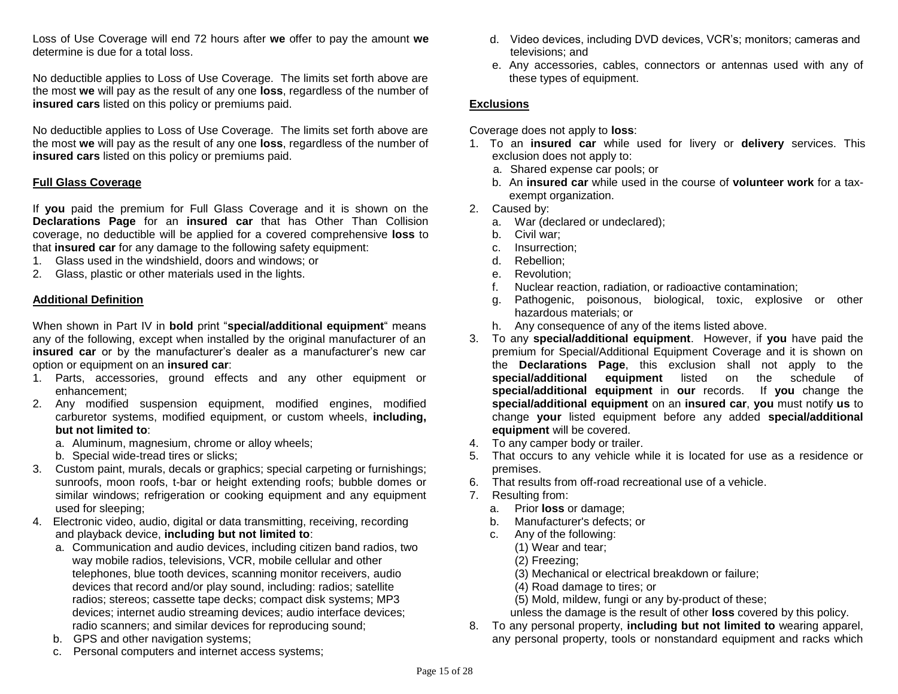Loss of Use Coverage will end 72 hours after **we** offer to pay the amount **we** determine is due for a total loss.

No deductible applies to Loss of Use Coverage. The limits set forth above are the most **we** will pay as the result of any one **loss**, regardless of the number of **insured cars** listed on this policy or premiums paid.

No deductible applies to Loss of Use Coverage. The limits set forth above are the most **we** will pay as the result of any one **loss**, regardless of the number of **insured cars** listed on this policy or premiums paid.

#### **Full Glass Coverage**

If **you** paid the premium for Full Glass Coverage and it is shown on the **Declarations Page** for an **insured car** that has Other Than Collision coverage, no deductible will be applied for a covered comprehensive **loss** to that **insured car** for any damage to the following safety equipment:

- 1. Glass used in the windshield, doors and windows; or
- 2. Glass, plastic or other materials used in the lights.

## **Additional Definition**

When shown in Part IV in **bold** print "**special/additional equipment**" means any of the following, except when installed by the original manufacturer of an **insured car** or by the manufacturer's dealer as a manufacturer's new car option or equipment on an **insured car**:

- 1. Parts, accessories, ground effects and any other equipment or enhancement;
- 2. Any modified suspension equipment, modified engines, modified carburetor systems, modified equipment, or custom wheels, **including, but not limited to**:
	- a. Aluminum, magnesium, chrome or alloy wheels;
	- b. Special wide-tread tires or slicks;
- 3. Custom paint, murals, decals or graphics; special carpeting or furnishings; sunroofs, moon roofs, t-bar or height extending roofs; bubble domes or similar windows; refrigeration or cooking equipment and any equipment used for sleeping;
- 4. Electronic video, audio, digital or data transmitting, receiving, recording and playback device, **including but not limited to**:
	- a. Communication and audio devices, including citizen band radios, two way mobile radios, televisions, VCR, mobile cellular and other telephones, blue tooth devices, scanning monitor receivers, audio devices that record and/or play sound, including: radios; satellite radios; stereos; cassette tape decks; compact disk systems; MP3 devices; internet audio streaming devices; audio interface devices; radio scanners; and similar devices for reproducing sound;
	- b. GPS and other navigation systems;
	- c. Personal computers and internet access systems;
- d. Video devices, including DVD devices, VCR's; monitors; cameras and televisions; and
- e. Any accessories, cables, connectors or antennas used with any of these types of equipment.

## **Exclusions**

Coverage does not apply to **loss**:

- 1. To an **insured car** while used for livery or **delivery** services. This exclusion does not apply to:
	- a. Shared expense car pools; or
	- b. An **insured car** while used in the course of **volunteer work** for a taxexempt organization.
- 2. Caused by:
	- a. War (declared or undeclared);
	- b. Civil war;
	- c. Insurrection;
	- d. Rebellion;
	- e. Revolution;
	- f. Nuclear reaction, radiation, or radioactive contamination;
	- g. Pathogenic, poisonous, biological, toxic, explosive or other hazardous materials; or
	- h. Any consequence of any of the items listed above.
- 3. To any **special/additional equipment**. However, if **you** have paid the premium for Special/Additional Equipment Coverage and it is shown on the **Declarations Page**, this exclusion shall not apply to the **special/additional equipment** listed on the schedule of **special/additional equipment** in **our** records. If **you** change the **special/additional equipment** on an **insured car**, **you** must notify **us** to change **your** listed equipment before any added **special/additional equipment** will be covered.
- 4. To any camper body or trailer.
- 5. That occurs to any vehicle while it is located for use as a residence or premises.
- 6. That results from off-road recreational use of a vehicle.
- 7. Resulting from:
	- a. Prior **loss** or damage;
	- b. Manufacturer's defects; or
	- c. Any of the following:
		- (1) Wear and tear;
		- (2) Freezing;
		- (3) Mechanical or electrical breakdown or failure;
		- (4) Road damage to tires; or
		- (5) Mold, mildew, fungi or any by-product of these;

unless the damage is the result of other **loss** covered by this policy.

8. To any personal property, **including but not limited to** wearing apparel, any personal property, tools or nonstandard equipment and racks which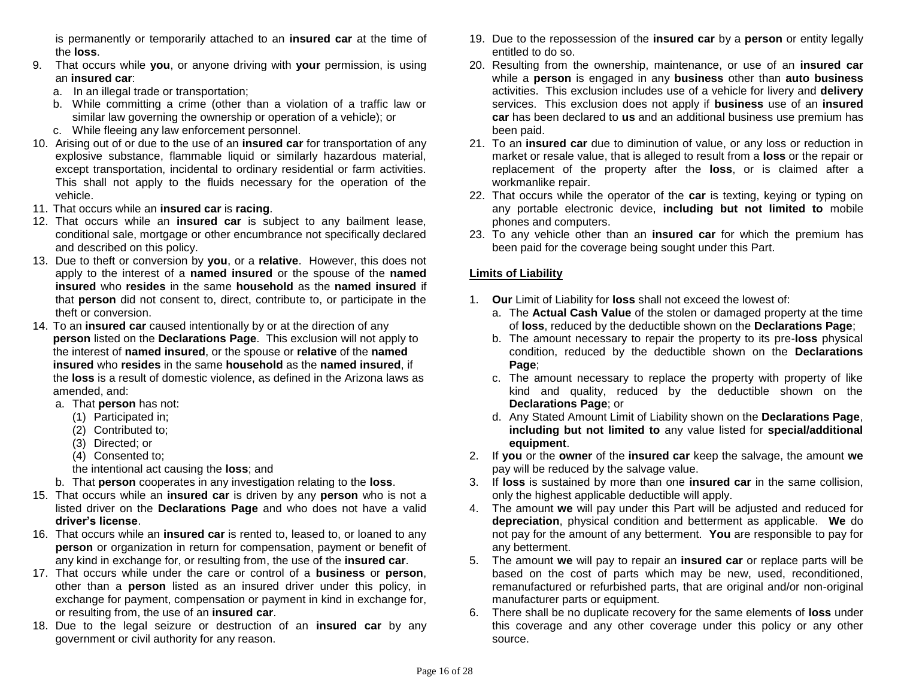is permanently or temporarily attached to an **insured car** at the time of the **loss**.

- 9. That occurs while **you**, or anyone driving with **your** permission, is using an **insured car**:
	- a. In an illegal trade or transportation;
	- b. While committing a crime (other than a violation of a traffic law or similar law governing the ownership or operation of a vehicle); or
	- c. While fleeing any law enforcement personnel.
- 10. Arising out of or due to the use of an **insured car** for transportation of any explosive substance, flammable liquid or similarly hazardous material, except transportation, incidental to ordinary residential or farm activities. This shall not apply to the fluids necessary for the operation of the vehicle.
- 11. That occurs while an **insured car** is **racing**.
- 12. That occurs while an **insured car** is subject to any bailment lease, conditional sale, mortgage or other encumbrance not specifically declared and described on this policy.
- 13. Due to theft or conversion by **you**, or a **relative**. However, this does not apply to the interest of a **named insured** or the spouse of the **named insured** who **resides** in the same **household** as the **named insured** if that **person** did not consent to, direct, contribute to, or participate in the theft or conversion.
- 14. To an **insured car** caused intentionally by or at the direction of any **person** listed on the **Declarations Page**. This exclusion will not apply to the interest of **named insured**, or the spouse or **relative** of the **named insured** who **resides** in the same **household** as the **named insured**, if the **loss** is a result of domestic violence, as defined in the Arizona laws as amended, and:
	- a. That **person** has not:
		- (1) Participated in;
		- (2) Contributed to;
		- (3) Directed; or
		- (4) Consented to;
		- the intentional act causing the **loss**; and
	- b. That **person** cooperates in any investigation relating to the **loss**.
- 15. That occurs while an **insured car** is driven by any **person** who is not a listed driver on the **Declarations Page** and who does not have a valid **driver's license**.
- 16. That occurs while an **insured car** is rented to, leased to, or loaned to any **person** or organization in return for compensation, payment or benefit of any kind in exchange for, or resulting from, the use of the **insured car**.
- 17. That occurs while under the care or control of a **business** or **person**, other than a **person** listed as an insured driver under this policy, in exchange for payment, compensation or payment in kind in exchange for, or resulting from, the use of an **insured car**.
- 18. Due to the legal seizure or destruction of an **insured car** by any government or civil authority for any reason.
- 19. Due to the repossession of the **insured car** by a **person** or entity legally entitled to do so.
- 20. Resulting from the ownership, maintenance, or use of an **insured car** while a **person** is engaged in any **business** other than **auto business** activities. This exclusion includes use of a vehicle for livery and **delivery** services. This exclusion does not apply if **business** use of an **insured car** has been declared to **us** and an additional business use premium has been paid.
- 21. To an **insured car** due to diminution of value, or any loss or reduction in market or resale value, that is alleged to result from a **loss** or the repair or replacement of the property after the **loss**, or is claimed after a workmanlike repair.
- 22. That occurs while the operator of the **car** is texting, keying or typing on any portable electronic device, **including but not limited to** mobile phones and computers.
- 23. To any vehicle other than an **insured car** for which the premium has been paid for the coverage being sought under this Part.

## **Limits of Liability**

- 1. **Our** Limit of Liability for **loss** shall not exceed the lowest of:
	- a. The **Actual Cash Value** of the stolen or damaged property at the time of **loss**, reduced by the deductible shown on the **Declarations Page**;
	- b. The amount necessary to repair the property to its pre-**loss** physical condition, reduced by the deductible shown on the **Declarations Page**;
	- c. The amount necessary to replace the property with property of like kind and quality, reduced by the deductible shown on the **Declarations Page**; or
	- d. Any Stated Amount Limit of Liability shown on the **Declarations Page**, **including but not limited to** any value listed for **special/additional equipment**.
- 2. If **you** or the **owner** of the **insured car** keep the salvage, the amount **we** pay will be reduced by the salvage value.
- 3. If **loss** is sustained by more than one **insured car** in the same collision, only the highest applicable deductible will apply.
- 4. The amount **we** will pay under this Part will be adjusted and reduced for **depreciation**, physical condition and betterment as applicable. **We** do not pay for the amount of any betterment. **You** are responsible to pay for any betterment.
- 5. The amount **we** will pay to repair an **insured car** or replace parts will be based on the cost of parts which may be new, used, reconditioned, remanufactured or refurbished parts, that are original and/or non-original manufacturer parts or equipment.
- 6. There shall be no duplicate recovery for the same elements of **loss** under this coverage and any other coverage under this policy or any other source.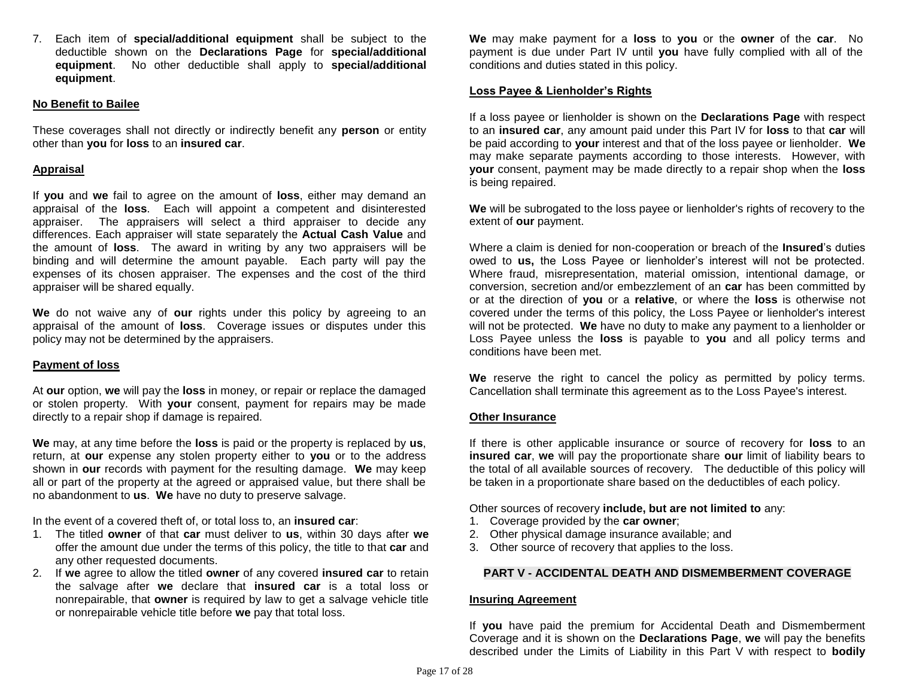7. Each item of **special/additional equipment** shall be subject to the deductible shown on the **Declarations Page** for **special/additional equipment**. No other deductible shall apply to **special/additional equipment**.

### **No Benefit to Bailee**

These coverages shall not directly or indirectly benefit any **person** or entity other than **you** for **loss** to an **insured car**.

### **Appraisal**

If **you** and **we** fail to agree on the amount of **loss**, either may demand an appraisal of the **loss**. Each will appoint a competent and disinterested appraiser. The appraisers will select a third appraiser to decide any differences. Each appraiser will state separately the **Actual Cash Value** and the amount of **loss**. The award in writing by any two appraisers will be binding and will determine the amount payable. Each party will pay the expenses of its chosen appraiser. The expenses and the cost of the third appraiser will be shared equally.

**We** do not waive any of **our** rights under this policy by agreeing to an appraisal of the amount of **loss**. Coverage issues or disputes under this policy may not be determined by the appraisers.

## **Payment of loss**

At **our** option, **we** will pay the **loss** in money, or repair or replace the damaged or stolen property. With **your** consent, payment for repairs may be made directly to a repair shop if damage is repaired.

**We** may, at any time before the **loss** is paid or the property is replaced by **us**, return, at **our** expense any stolen property either to **you** or to the address shown in **our** records with payment for the resulting damage. **We** may keep all or part of the property at the agreed or appraised value, but there shall be no abandonment to **us**. **We** have no duty to preserve salvage.

In the event of a covered theft of, or total loss to, an **insured car**:

- 1. The titled **owner** of that **car** must deliver to **us**, within 30 days after **we** offer the amount due under the terms of this policy, the title to that **car** and any other requested documents.
- 2. If **we** agree to allow the titled **owner** of any covered **insured car** to retain the salvage after **we** declare that **insured car** is a total loss or nonrepairable, that **owner** is required by law to get a salvage vehicle title or nonrepairable vehicle title before **we** pay that total loss.

**We** may make payment for a **loss** to **you** or the **owner** of the **car**. No payment is due under Part IV until **you** have fully complied with all of the conditions and duties stated in this policy.

#### **Loss Payee & Lienholder's Rights**

If a loss payee or lienholder is shown on the **Declarations Page** with respect to an **insured car**, any amount paid under this Part IV for **loss** to that **car** will be paid according to **your** interest and that of the loss payee or lienholder. **We** may make separate payments according to those interests. However, with **your** consent, payment may be made directly to a repair shop when the **loss** is being repaired.

**We** will be subrogated to the loss payee or lienholder's rights of recovery to the extent of **our** payment.

Where a claim is denied for non-cooperation or breach of the **Insured**'s duties owed to **us,** the Loss Payee or lienholder's interest will not be protected. Where fraud, misrepresentation, material omission, intentional damage, or conversion, secretion and/or embezzlement of an **car** has been committed by or at the direction of **you** or a **relative**, or where the **loss** is otherwise not covered under the terms of this policy, the Loss Payee or lienholder's interest will not be protected. **We** have no duty to make any payment to a lienholder or Loss Payee unless the **loss** is payable to **you** and all policy terms and conditions have been met.

**We** reserve the right to cancel the policy as permitted by policy terms. Cancellation shall terminate this agreement as to the Loss Payee's interest.

#### **Other Insurance**

If there is other applicable insurance or source of recovery for **loss** to an **insured car**, **we** will pay the proportionate share **our** limit of liability bears to the total of all available sources of recovery. The deductible of this policy will be taken in a proportionate share based on the deductibles of each policy.

Other sources of recovery **include, but are not limited to** any:

- 1. Coverage provided by the **car owner**;
- 2. Other physical damage insurance available; and
- 3. Other source of recovery that applies to the loss.

## **PART V - ACCIDENTAL DEATH AND DISMEMBERMENT COVERAGE**

#### **Insuring Agreement**

If **you** have paid the premium for Accidental Death and Dismemberment Coverage and it is shown on the **Declarations Page**, **we** will pay the benefits described under the Limits of Liability in this Part V with respect to **bodily**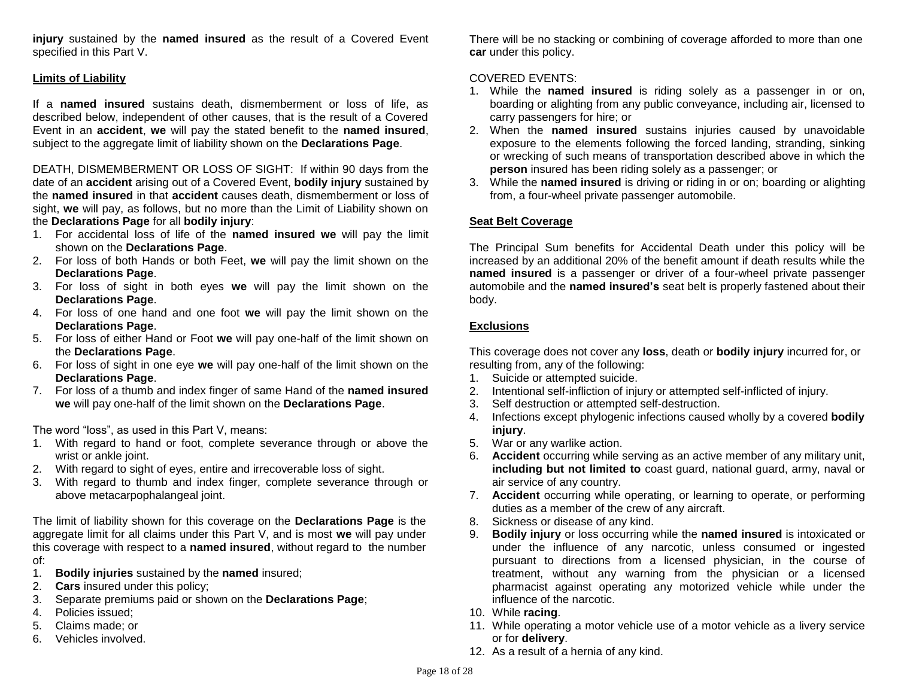**injury** sustained by the **named insured** as the result of a Covered Event specified in this Part V.

### **Limits of Liability**

If a **named insured** sustains death, dismemberment or loss of life, as described below, independent of other causes, that is the result of a Covered Event in an **accident**, **we** will pay the stated benefit to the **named insured**, subject to the aggregate limit of liability shown on the **Declarations Page**.

DEATH, DISMEMBERMENT OR LOSS OF SIGHT: If within 90 days from the date of an **accident** arising out of a Covered Event, **bodily injury** sustained by the **named insured** in that **accident** causes death, dismemberment or loss of sight, **we** will pay, as follows, but no more than the Limit of Liability shown on the **Declarations Page** for all **bodily injury**:

- 1. For accidental loss of life of the **named insured we** will pay the limit shown on the **Declarations Page**.
- 2. For loss of both Hands or both Feet, **we** will pay the limit shown on the **Declarations Page**.
- 3. For loss of sight in both eyes **we** will pay the limit shown on the **Declarations Page**.
- 4. For loss of one hand and one foot **we** will pay the limit shown on the **Declarations Page**.
- 5. For loss of either Hand or Foot **we** will pay one-half of the limit shown on the **Declarations Page**.
- 6. For loss of sight in one eye **we** will pay one-half of the limit shown on the **Declarations Page**.
- 7. For loss of a thumb and index finger of same Hand of the **named insured we** will pay one-half of the limit shown on the **Declarations Page**.

The word "loss", as used in this Part V, means:

- 1. With regard to hand or foot, complete severance through or above the wrist or ankle joint.
- 2. With regard to sight of eyes, entire and irrecoverable loss of sight.
- 3. With regard to thumb and index finger, complete severance through or above metacarpophalangeal joint.

The limit of liability shown for this coverage on the **Declarations Page** is the aggregate limit for all claims under this Part V, and is most **we** will pay under this coverage with respect to a **named insured**, without regard to the number of:

- 1. **Bodily injuries** sustained by the **named** insured;
- 2. **Cars** insured under this policy;
- 3. Separate premiums paid or shown on the **Declarations Page**;
- 4. Policies issued;
- 5. Claims made; or
- 6. Vehicles involved.

There will be no stacking or combining of coverage afforded to more than one **car** under this policy.

### COVERED EVENTS:

- 1. While the **named insured** is riding solely as a passenger in or on, boarding or alighting from any public conveyance, including air, licensed to carry passengers for hire; or
- 2. When the **named insured** sustains injuries caused by unavoidable exposure to the elements following the forced landing, stranding, sinking or wrecking of such means of transportation described above in which the **person** insured has been riding solely as a passenger; or
- 3. While the **named insured** is driving or riding in or on; boarding or alighting from, a four-wheel private passenger automobile.

### **Seat Belt Coverage**

The Principal Sum benefits for Accidental Death under this policy will be increased by an additional 20% of the benefit amount if death results while the **named insured** is a passenger or driver of a four-wheel private passenger automobile and the **named insured's** seat belt is properly fastened about their body.

## **Exclusions**

This coverage does not cover any **loss**, death or **bodily injury** incurred for, or resulting from, any of the following:

- 1. Suicide or attempted suicide.
- 2. Intentional self-infliction of injury or attempted self-inflicted of injury.
- 3. Self destruction or attempted self-destruction.
- 4. Infections except phylogenic infections caused wholly by a covered **bodily injury**.
- 5. War or any warlike action.
- 6. **Accident** occurring while serving as an active member of any military unit, **including but not limited to** coast guard, national guard, army, naval or air service of any country.
- 7. **Accident** occurring while operating, or learning to operate, or performing duties as a member of the crew of any aircraft.
- 8. Sickness or disease of any kind.
- 9. **Bodily injury** or loss occurring while the **named insured** is intoxicated or under the influence of any narcotic, unless consumed or ingested pursuant to directions from a licensed physician, in the course of treatment, without any warning from the physician or a licensed pharmacist against operating any motorized vehicle while under the influence of the narcotic.
- 10. While **racing**.
- 11. While operating a motor vehicle use of a motor vehicle as a livery service or for **delivery**.
- 12. As a result of a hernia of any kind.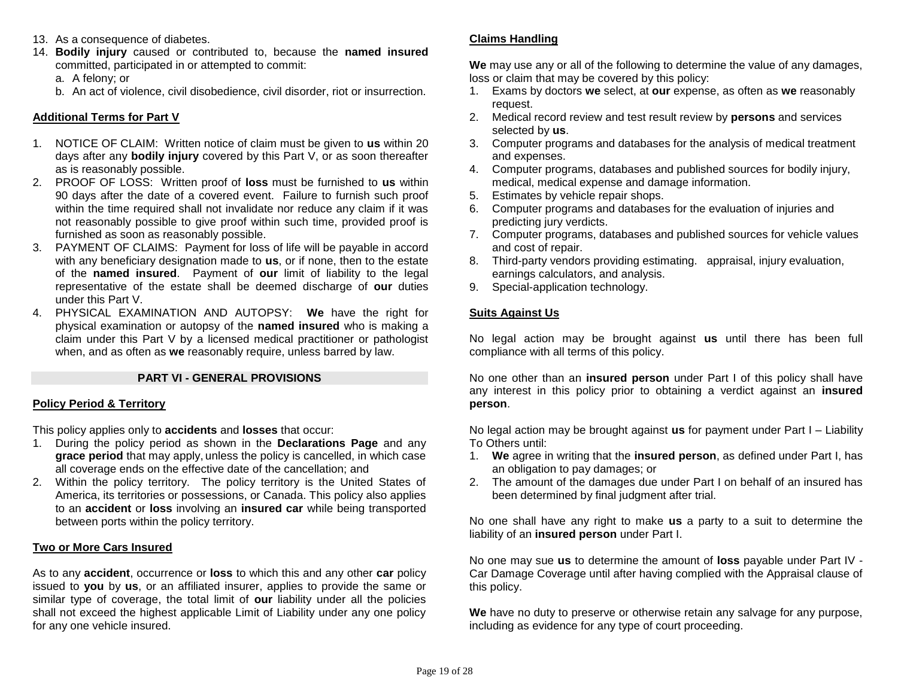- 13. As a consequence of diabetes.
- 14. **Bodily injury** caused or contributed to, because the **named insured** committed, participated in or attempted to commit:

a. A felony; or

b. An act of violence, civil disobedience, civil disorder, riot or insurrection.

## **Additional Terms for Part V**

- 1. NOTICE OF CLAIM: Written notice of claim must be given to **us** within 20 days after any **bodily injury** covered by this Part V, or as soon thereafter as is reasonably possible.
- 2. PROOF OF LOSS: Written proof of **loss** must be furnished to **us** within 90 days after the date of a covered event. Failure to furnish such proof within the time required shall not invalidate nor reduce any claim if it was not reasonably possible to give proof within such time, provided proof is furnished as soon as reasonably possible.
- 3. PAYMENT OF CLAIMS: Payment for loss of life will be payable in accord with any beneficiary designation made to **us**, or if none, then to the estate of the **named insured**. Payment of **our** limit of liability to the legal representative of the estate shall be deemed discharge of **our** duties under this Part V.
- 4. PHYSICAL EXAMINATION AND AUTOPSY: **We** have the right for physical examination or autopsy of the **named insured** who is making a claim under this Part V by a licensed medical practitioner or pathologist when, and as often as **we** reasonably require, unless barred by law.

## **PART VI - GENERAL PROVISIONS**

## **Policy Period & Territory**

This policy applies only to **accidents** and **losses** that occur:

- 1. During the policy period as shown in the **Declarations Page** and any **grace period** that may apply, unless the policy is cancelled, in which case all coverage ends on the effective date of the cancellation; and
- 2. Within the policy territory. The policy territory is the United States of America, its territories or possessions, or Canada. This policy also applies to an **accident** or **loss** involving an **insured car** while being transported between ports within the policy territory.

## **Two or More Cars Insured**

As to any **accident**, occurrence or **loss** to which this and any other **car** policy issued to **you** by **us**, or an affiliated insurer, applies to provide the same or similar type of coverage, the total limit of **our** liability under all the policies shall not exceed the highest applicable Limit of Liability under any one policy for any one vehicle insured.

## **Claims Handling**

**We** may use any or all of the following to determine the value of any damages, loss or claim that may be covered by this policy:

- 1. Exams by doctors **we** select, at **our** expense, as often as **we** reasonably request.
- 2. Medical record review and test result review by **persons** and services selected by **us**.
- 3. Computer programs and databases for the analysis of medical treatment and expenses.
- 4. Computer programs, databases and published sources for bodily injury, medical, medical expense and damage information.
- 5. Estimates by vehicle repair shops.
- 6. Computer programs and databases for the evaluation of injuries and predicting jury verdicts.
- 7. Computer programs, databases and published sources for vehicle values and cost of repair.
- 8. Third-party vendors providing estimating. appraisal, injury evaluation, earnings calculators, and analysis.
- 9. Special-application technology.

## **Suits Against Us**

No legal action may be brought against **us** until there has been full compliance with all terms of this policy.

No one other than an **insured person** under Part I of this policy shall have any interest in this policy prior to obtaining a verdict against an **insured person**.

No legal action may be brought against **us** for payment under Part I – Liability To Others until:

- 1. **We** agree in writing that the **insured person**, as defined under Part I, has an obligation to pay damages; or
- 2. The amount of the damages due under Part I on behalf of an insured has been determined by final judgment after trial.

No one shall have any right to make **us** a party to a suit to determine the liability of an **insured person** under Part I.

No one may sue **us** to determine the amount of **loss** payable under Part IV - Car Damage Coverage until after having complied with the Appraisal clause of this policy.

**We** have no duty to preserve or otherwise retain any salvage for any purpose, including as evidence for any type of court proceeding.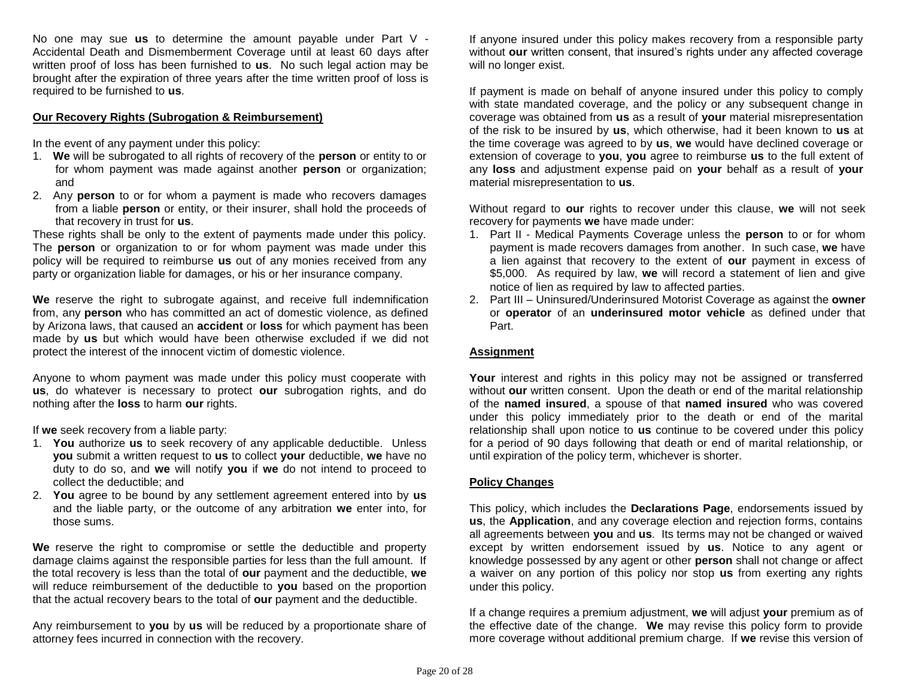No one may sue **us** to determine the amount payable under Part V - Accidental Death and Dismemberment Coverage until at least 60 days after written proof of loss has been furnished to **us**. No such legal action may be brought after the expiration of three years after the time written proof of loss is required to be furnished to **us**.

## **Our Recovery Rights (Subrogation & Reimbursement)**

In the event of any payment under this policy:

- 1. **We** will be subrogated to all rights of recovery of the **person** or entity to or for whom payment was made against another **person** or organization; and
- 2. Any **person** to or for whom a payment is made who recovers damages from a liable **person** or entity, or their insurer, shall hold the proceeds of that recovery in trust for **us**.

These rights shall be only to the extent of payments made under this policy. The **person** or organization to or for whom payment was made under this policy will be required to reimburse **us** out of any monies received from any party or organization liable for damages, or his or her insurance company.

**We** reserve the right to subrogate against, and receive full indemnification from, any **person** who has committed an act of domestic violence, as defined by Arizona laws, that caused an **accident** or **loss** for which payment has been made by **us** but which would have been otherwise excluded if we did not protect the interest of the innocent victim of domestic violence.

Anyone to whom payment was made under this policy must cooperate with **us**, do whatever is necessary to protect **our** subrogation rights, and do nothing after the **loss** to harm **our** rights.

If **we** seek recovery from a liable party:

- 1. **You** authorize **us** to seek recovery of any applicable deductible. Unless **you** submit a written request to **us** to collect **your** deductible, **we** have no duty to do so, and **we** will notify **you** if **we** do not intend to proceed to collect the deductible; and
- 2. **You** agree to be bound by any settlement agreement entered into by **us** and the liable party, or the outcome of any arbitration **we** enter into, for those sums.

**We** reserve the right to compromise or settle the deductible and property damage claims against the responsible parties for less than the full amount. If the total recovery is less than the total of **our** payment and the deductible, **we**  will reduce reimbursement of the deductible to **you** based on the proportion that the actual recovery bears to the total of **our** payment and the deductible.

Any reimbursement to **you** by **us** will be reduced by a proportionate share of attorney fees incurred in connection with the recovery.

If anyone insured under this policy makes recovery from a responsible party without **our** written consent, that insured's rights under any affected coverage will no longer exist.

If payment is made on behalf of anyone insured under this policy to comply with state mandated coverage, and the policy or any subsequent change in coverage was obtained from **us** as a result of **your** material misrepresentation of the risk to be insured by **us**, which otherwise, had it been known to **us** at the time coverage was agreed to by **us**, **we** would have declined coverage or extension of coverage to **you**, **you** agree to reimburse **us** to the full extent of any **loss** and adjustment expense paid on **your** behalf as a result of **your** material misrepresentation to **us**.

Without regard to **our** rights to recover under this clause, **we** will not seek recovery for payments **we** have made under:

- 1. Part II Medical Payments Coverage unless the **person** to or for whom payment is made recovers damages from another. In such case, **we** have a lien against that recovery to the extent of **our** payment in excess of \$5,000. As required by law, **we** will record a statement of lien and give notice of lien as required by law to affected parties.
- 2. Part III Uninsured/Underinsured Motorist Coverage as against the **owner** or **operator** of an **underinsured motor vehicle** as defined under that Part.

## **Assignment**

**Your** interest and rights in this policy may not be assigned or transferred without **our** written consent. Upon the death or end of the marital relationship of the **named insured**, a spouse of that **named insured** who was covered under this policy immediately prior to the death or end of the marital relationship shall upon notice to **us** continue to be covered under this policy for a period of 90 days following that death or end of marital relationship, or until expiration of the policy term, whichever is shorter.

## **Policy Changes**

This policy, which includes the **Declarations Page**, endorsements issued by **us**, the **Application**, and any coverage election and rejection forms, contains all agreements between **you** and **us**. Its terms may not be changed or waived except by written endorsement issued by **us**. Notice to any agent or knowledge possessed by any agent or other **person** shall not change or affect a waiver on any portion of this policy nor stop **us** from exerting any rights under this policy.

If a change requires a premium adjustment, **we** will adjust **your** premium as of the effective date of the change. **We** may revise this policy form to provide more coverage without additional premium charge. If **we** revise this version of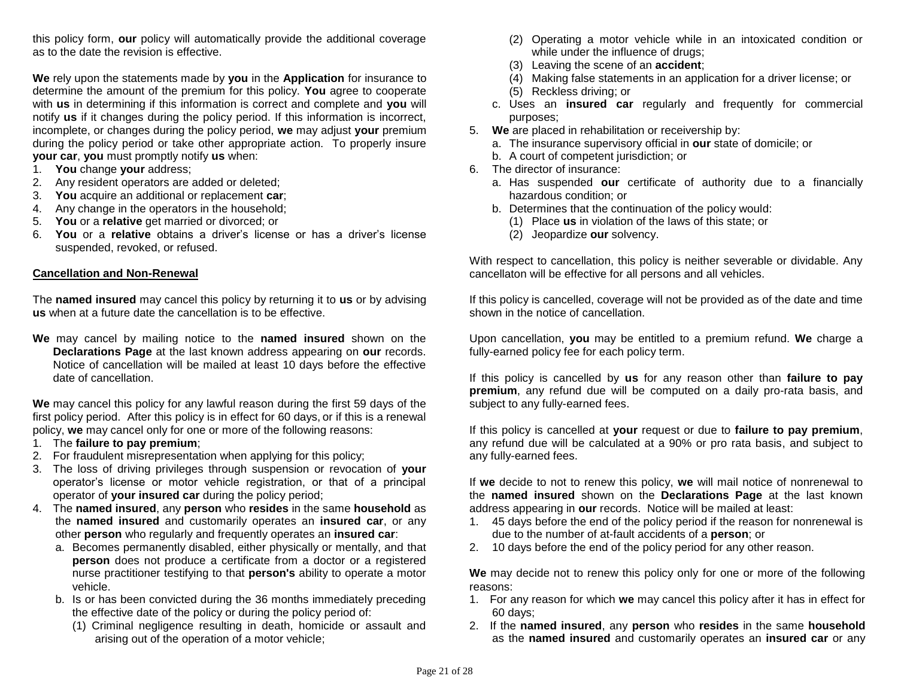this policy form, **our** policy will automatically provide the additional coverage as to the date the revision is effective.

**We** rely upon the statements made by **you** in the **Application** for insurance to determine the amount of the premium for this policy. **You** agree to cooperate with **us** in determining if this information is correct and complete and **you** will notify **us** if it changes during the policy period. If this information is incorrect, incomplete, or changes during the policy period, **we** may adjust **your** premium during the policy period or take other appropriate action. To properly insure **your car**, **you** must promptly notify **us** when:

- 1. **You** change **your** address;
- 2. Any resident operators are added or deleted;
- 3. **You** acquire an additional or replacement **car**;
- 4. Any change in the operators in the household;
- 5. **You** or a **relative** get married or divorced; or
- 6. **You** or a **relative** obtains a driver's license or has a driver's license suspended, revoked, or refused.

#### **Cancellation and Non-Renewal**

The **named insured** may cancel this policy by returning it to **us** or by advising **us** when at a future date the cancellation is to be effective.

**We** may cancel by mailing notice to the **named insured** shown on the **Declarations Page** at the last known address appearing on **our** records. Notice of cancellation will be mailed at least 10 days before the effective date of cancellation.

**We** may cancel this policy for any lawful reason during the first 59 days of the first policy period. After this policy is in effect for 60 days, or if this is a renewal policy, **we** may cancel only for one or more of the following reasons:

- 1. The **failure to pay premium**;
- 2. For fraudulent misrepresentation when applying for this policy;
- 3. The loss of driving privileges through suspension or revocation of **your** operator's license or motor vehicle registration, or that of a principal operator of **your insured car** during the policy period;
- 4. The **named insured**, any **person** who **resides** in the same **household** as the **named insured** and customarily operates an **insured car**, or any other **person** who regularly and frequently operates an **insured car**:
	- a. Becomes permanently disabled, either physically or mentally, and that **person** does not produce a certificate from a doctor or a registered nurse practitioner testifying to that **person's** ability to operate a motor vehicle.
	- b. Is or has been convicted during the 36 months immediately preceding the effective date of the policy or during the policy period of:
		- (1) Criminal negligence resulting in death, homicide or assault and arising out of the operation of a motor vehicle;
- (2) Operating a motor vehicle while in an intoxicated condition or while under the influence of drugs;
- (3) Leaving the scene of an **accident**;
- (4) Making false statements in an application for a driver license; or
- (5) Reckless driving; or
- c. Uses an **insured car** regularly and frequently for commercial purposes;
- 5. **We** are placed in rehabilitation or receivership by:
	- a. The insurance supervisory official in **our** state of domicile; or
	- b. A court of competent jurisdiction; or
- 6. The director of insurance:
	- a. Has suspended **our** certificate of authority due to a financially hazardous condition; or
	- b. Determines that the continuation of the policy would:
		- (1) Place **us** in violation of the laws of this state; or
		- (2) Jeopardize **our** solvency.

With respect to cancellation, this policy is neither severable or dividable. Any cancellaton will be effective for all persons and all vehicles.

If this policy is cancelled, coverage will not be provided as of the date and time shown in the notice of cancellation.

Upon cancellation, **you** may be entitled to a premium refund. **We** charge a fully-earned policy fee for each policy term.

If this policy is cancelled by **us** for any reason other than **failure to pay premium**, any refund due will be computed on a daily pro-rata basis, and subject to any fully-earned fees.

If this policy is cancelled at **your** request or due to **failure to pay premium**, any refund due will be calculated at a 90% or pro rata basis, and subject to any fully-earned fees.

If **we** decide to not to renew this policy, **we** will mail notice of nonrenewal to the **named insured** shown on the **Declarations Page** at the last known address appearing in **our** records. Notice will be mailed at least:

- 1. 45 days before the end of the policy period if the reason for nonrenewal is due to the number of at-fault accidents of a **person**; or
- 2. 10 days before the end of the policy period for any other reason.

**We** may decide not to renew this policy only for one or more of the following reasons: 

- 1. For any reason for which **we** may cancel this policy after it has in effect for 60 days;
- 2. If the **named insured**, any **person** who **resides** in the same **household** as the **named insured** and customarily operates an **insured car** or any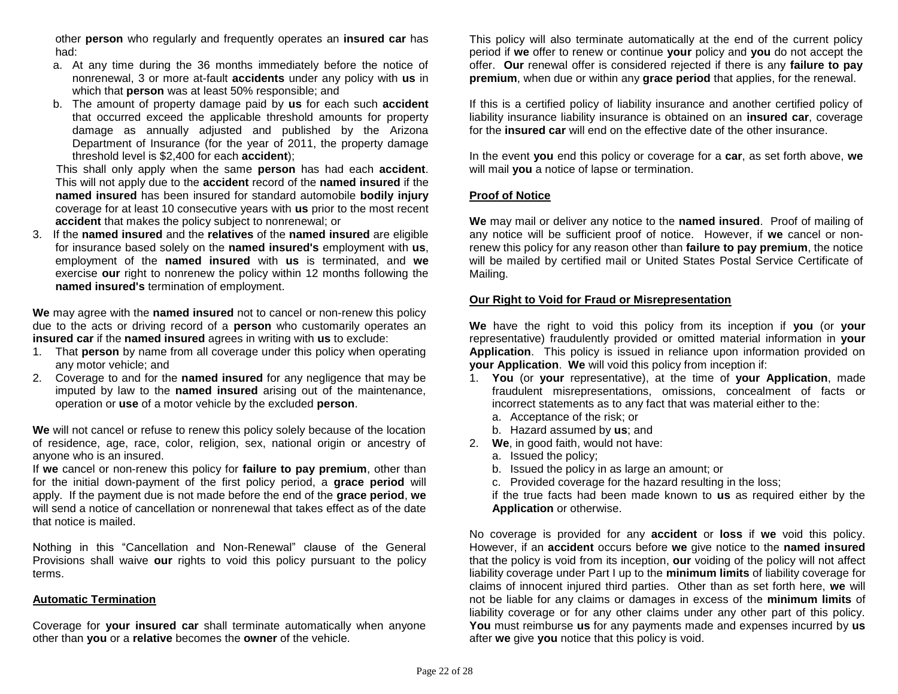other **person** who regularly and frequently operates an **insured car** has had:

- a. At any time during the 36 months immediately before the notice of nonrenewal, 3 or more at-fault **accidents** under any policy with **us** in which that **person** was at least 50% responsible; and
- b. The amount of property damage paid by **us** for each such **accident**  that occurred exceed the applicable threshold amounts for property damage as annually adjusted and published by the Arizona Department of Insurance (for the year of 2011, the property damage threshold level is \$2,400 for each **accident**);

This shall only apply when the same **person** has had each **accident**. This will not apply due to the **accident** record of the **named insured** if the **named insured** has been insured for standard automobile **bodily injury** coverage for at least 10 consecutive years with **us** prior to the most recent **accident** that makes the policy subject to nonrenewal; or

3. If the **named insured** and the **relatives** of the **named insured** are eligible for insurance based solely on the **named insured's** employment with **us**, employment of the **named insured** with **us** is terminated, and **we** exercise **our** right to nonrenew the policy within 12 months following the **named insured's** termination of employment.

**We** may agree with the **named insured** not to cancel or non-renew this policy due to the acts or driving record of a **person** who customarily operates an **insured car** if the **named insured** agrees in writing with **us** to exclude:

- 1. That **person** by name from all coverage under this policy when operating any motor vehicle; and
- 2. Coverage to and for the **named insured** for any negligence that may be imputed by law to the **named insured** arising out of the maintenance, operation or **use** of a motor vehicle by the excluded **person**.

**We** will not cancel or refuse to renew this policy solely because of the location of residence, age, race, color, religion, sex, national origin or ancestry of anyone who is an insured.

If **we** cancel or non-renew this policy for **failure to pay premium**, other than for the initial down-payment of the first policy period, a **grace period** will apply. If the payment due is not made before the end of the **grace period**, **we** will send a notice of cancellation or nonrenewal that takes effect as of the date that notice is mailed.

Nothing in this "Cancellation and Non-Renewal" clause of the General Provisions shall waive **our** rights to void this policy pursuant to the policy terms.

#### **Automatic Termination**

Coverage for **your insured car** shall terminate automatically when anyone other than **you** or a **relative** becomes the **owner** of the vehicle.

This policy will also terminate automatically at the end of the current policy period if **we** offer to renew or continue **your** policy and **you** do not accept the offer. **Our** renewal offer is considered rejected if there is any **failure to pay premium**, when due or within any **grace period** that applies, for the renewal.

If this is a certified policy of liability insurance and another certified policy of liability insurance liability insurance is obtained on an **insured car**, coverage for the **insured car** will end on the effective date of the other insurance.

In the event **you** end this policy or coverage for a **car**, as set forth above, **we** will mail **you** a notice of lapse or termination.

#### **Proof of Notice**

**We** may mail or deliver any notice to the **named insured**. Proof of mailing of any notice will be sufficient proof of notice. However, if **we** cancel or nonrenew this policy for any reason other than **failure to pay premium**, the notice will be mailed by certified mail or United States Postal Service Certificate of Mailing.

#### **Our Right to Void for Fraud or Misrepresentation**

**We** have the right to void this policy from its inception if **you** (or **your** representative) fraudulently provided or omitted material information in **your Application**. This policy is issued in reliance upon information provided on **your Application**. **We** will void this policy from inception if:

- 1. **You** (or **your** representative), at the time of **your Application**, made fraudulent misrepresentations, omissions, concealment of facts or incorrect statements as to any fact that was material either to the:
	- a. Acceptance of the risk; or
	- b. Hazard assumed by **us**; and
- 2. **We**, in good faith, would not have:
	- a. Issued the policy;
	- b. Issued the policy in as large an amount; or
	- c. Provided coverage for the hazard resulting in the loss;

if the true facts had been made known to **us** as required either by the **Application** or otherwise.

No coverage is provided for any **accident** or **loss** if **we** void this policy. However, if an **accident** occurs before **we** give notice to the **named insured** that the policy is void from its inception, **our** voiding of the policy will not affect liability coverage under Part I up to the **minimum limits** of liability coverage for claims of innocent injured third parties. Other than as set forth here, **we** will not be liable for any claims or damages in excess of the **minimum limits** of liability coverage or for any other claims under any other part of this policy. **You** must reimburse **us** for any payments made and expenses incurred by **us** after **we** give **you** notice that this policy is void.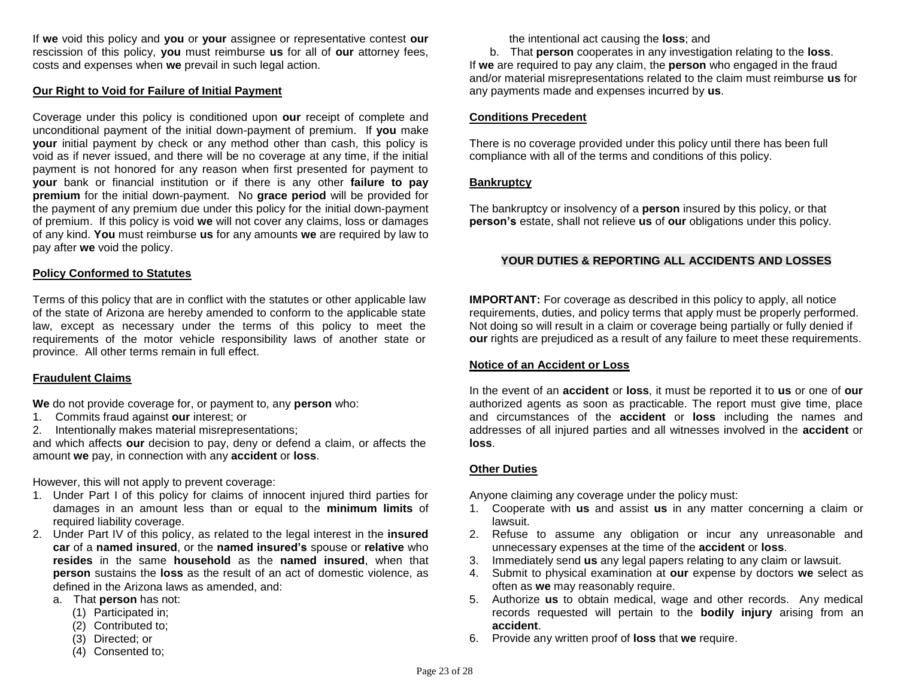If **we** void this policy and **you** or **your** assignee or representative contest **our**  rescission of this policy, **you** must reimburse **us** for all of **our** attorney fees, costs and expenses when **we** prevail in such legal action.

#### **Our Right to Void for Failure of Initial Payment**

Coverage under this policy is conditioned upon **our** receipt of complete and unconditional payment of the initial down-payment of premium. If **you** make **your** initial payment by check or any method other than cash, this policy is void as if never issued, and there will be no coverage at any time, if the initial payment is not honored for any reason when first presented for payment to **your** bank or financial institution or if there is any other **failure to pay premium** for the initial down-payment. No **grace period** will be provided for the payment of any premium due under this policy for the initial down-payment of premium. If this policy is void **we** will not cover any claims, loss or damages of any kind. **You** must reimburse **us** for any amounts **we** are required by law to pay after **we** void the policy.

#### **Policy Conformed to Statutes**

Terms of this policy that are in conflict with the statutes or other applicable law of the state of Arizona are hereby amended to conform to the applicable state law, except as necessary under the terms of this policy to meet the requirements of the motor vehicle responsibility laws of another state or province. All other terms remain in full effect.

#### **Fraudulent Claims**

**We** do not provide coverage for, or payment to, any **person** who:

- 1. Commits fraud against **our** interest; or
- 2. Intentionally makes material misrepresentations;

and which affects **our** decision to pay, deny or defend a claim, or affects the amount **we** pay, in connection with any **accident** or **loss**.

However, this will not apply to prevent coverage:

- 1. Under Part I of this policy for claims of innocent injured third parties for damages in an amount less than or equal to the **minimum limits** of required liability coverage.
- 2. Under Part IV of this policy, as related to the legal interest in the **insured car** of a **named insured**, or the **named insured's** spouse or **relative** who **resides** in the same **household** as the **named insured**, when that **person** sustains the **loss** as the result of an act of domestic violence, as defined in the Arizona laws as amended, and:
	- a. That **person** has not:
		- (1) Participated in;
		- (2) Contributed to;
		- (3) Directed; or
		- (4) Consented to;

the intentional act causing the **loss**; and

b. That **person** cooperates in any investigation relating to the **loss**. If **we** are required to pay any claim, the **person** who engaged in the fraud and/or material misrepresentations related to the claim must reimburse **us** for any payments made and expenses incurred by **us**.

### **Conditions Precedent**

There is no coverage provided under this policy until there has been full compliance with all of the terms and conditions of this policy.

#### **Bankruptcy**

The bankruptcy or insolvency of a **person** insured by this policy, or that **person's** estate, shall not relieve **us** of **our** obligations under this policy.

## **YOUR DUTIES & REPORTING ALL ACCIDENTS AND LOSSES**

**IMPORTANT:** For coverage as described in this policy to apply, all notice requirements, duties, and policy terms that apply must be properly performed. Not doing so will result in a claim or coverage being partially or fully denied if **our** rights are prejudiced as a result of any failure to meet these requirements.

#### **Notice of an Accident or Loss**

In the event of an **accident** or **loss**, it must be reported it to **us** or one of **our**  authorized agents as soon as practicable. The report must give time, place and circumstances of the **accident** or **loss** including the names and addresses of all injured parties and all witnesses involved in the **accident** or **loss**.

## **Other Duties**

Anyone claiming any coverage under the policy must:

- 1. Cooperate with **us** and assist **us** in any matter concerning a claim or lawsuit.
- 2. Refuse to assume any obligation or incur any unreasonable and unnecessary expenses at the time of the **accident** or **loss**.
- 3. Immediately send **us** any legal papers relating to any claim or lawsuit.
- 4. Submit to physical examination at **our** expense by doctors **we** select as often as **we** may reasonably require.
- 5. Authorize **us** to obtain medical, wage and other records. Any medical records requested will pertain to the **bodily injury** arising from an **accident**.
- 6. Provide any written proof of **loss** that **we** require.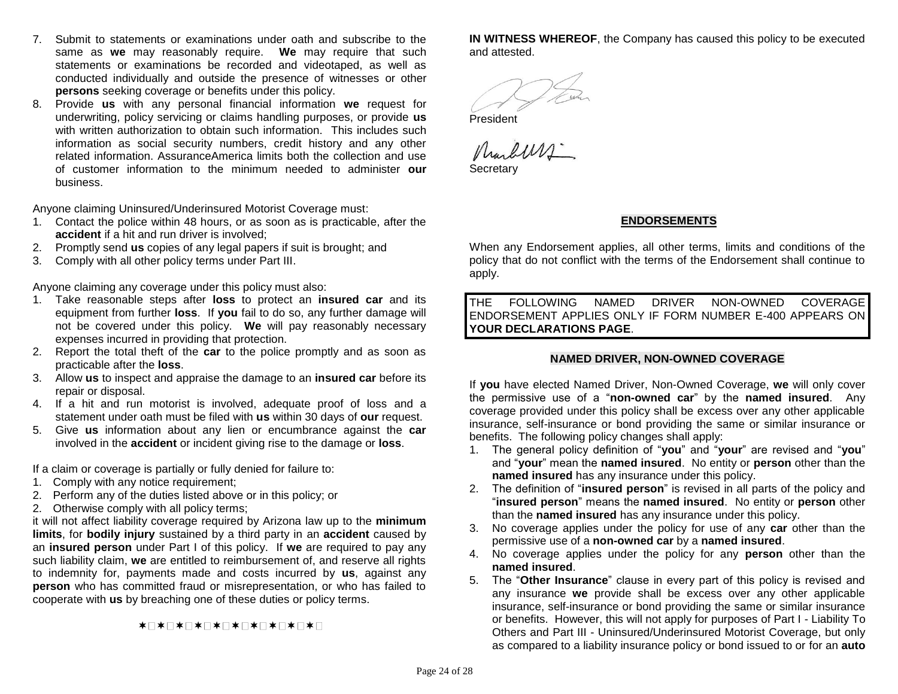- 7. Submit to statements or examinations under oath and subscribe to the same as **we** may reasonably require. **We** may require that such statements or examinations be recorded and videotaped, as well as conducted individually and outside the presence of witnesses or other **persons** seeking coverage or benefits under this policy.
- 8. Provide **us** with any personal financial information **we** request for underwriting, policy servicing or claims handling purposes, or provide **us** with written authorization to obtain such information. This includes such information as social security numbers, credit history and any other related information. AssuranceAmerica limits both the collection and use of customer information to the minimum needed to administer **our** business.

Anyone claiming Uninsured/Underinsured Motorist Coverage must:

- 1. Contact the police within 48 hours, or as soon as is practicable, after the **accident** if a hit and run driver is involved;
- 2. Promptly send **us** copies of any legal papers if suit is brought; and
- 3. Comply with all other policy terms under Part III.

Anyone claiming any coverage under this policy must also:

- 1. Take reasonable steps after **loss** to protect an **insured car** and its equipment from further **loss**.If **you** fail to do so, any further damage will not be covered under this policy. **We** will pay reasonably necessary expenses incurred in providing that protection.
- 2. Report the total theft of the **car** to the police promptly and as soon as practicable after the **loss**.
- 3. Allow **us** to inspect and appraise the damage to an **insured car** before its repair or disposal.
- 4. If a hit and run motorist is involved, adequate proof of loss and a statement under oath must be filed with **us** within 30 days of **our** request.
- 5. Give **us** information about any lien or encumbrance against the **car** involved in the **accident** or incident giving rise to the damage or **loss**.

If a claim or coverage is partially or fully denied for failure to:

- 1. Comply with any notice requirement;
- 2. Perform any of the duties listed above or in this policy; or
- 2. Otherwise comply with all policy terms;

it will not affect liability coverage required by Arizona law up to the **minimum limits**, for **bodily injury** sustained by a third party in an **accident** caused by an **insured person** under Part I of this policy. If **we** are required to pay any such liability claim, **we** are entitled to reimbursement of, and reserve all rights to indemnity for, payments made and costs incurred by **us**, against any **person** who has committed fraud or misrepresentation, or who has failed to cooperate with **us** by breaching one of these duties or policy terms.

**\*□\*□\*□\*□\*□\*□\*□\*□\*□\*□\*□** 

**IN WITNESS WHEREOF**, the Company has caused this policy to be executed and attested.

President

Marburs.

**Secretary** 

## **ENDORSEMENTS**

When any Endorsement applies, all other terms, limits and conditions of the policy that do not conflict with the terms of the Endorsement shall continue to apply.

THE FOLLOWING NAMED DRIVER NON-OWNED COVERAGE ENDORSEMENT APPLIES ONLY IF FORM NUMBER E-400 APPEARS ON **YOUR DECLARATIONS PAGE**.

#### **NAMED DRIVER, NON-OWNED COVERAGE**

If **you** have elected Named Driver, Non-Owned Coverage, **we** will only cover the permissive use of a "**non-owned car**" by the **named insured**. Any coverage provided under this policy shall be excess over any other applicable insurance, self-insurance or bond providing the same or similar insurance or benefits. The following policy changes shall apply:

- 1. The general policy definition of "**you**" and "**your**" are revised and "**you**" and "**your**" mean the **named insured**. No entity or **person** other than the **named insured** has any insurance under this policy.
- 2. The definition of "**insured person**" is revised in all parts of the policy and "**insured person**" means the **named insured**. No entity or **person** other than the **named insured** has any insurance under this policy.
- 3. No coverage applies under the policy for use of any **car** other than the permissive use of a **non-owned car** by a **named insured**.
- 4. No coverage applies under the policy for any **person** other than the **named insured**.
- 5. The "**Other Insurance**" clause in every part of this policy is revised and any insurance **we** provide shall be excess over any other applicable insurance, self-insurance or bond providing the same or similar insurance or benefits. However, this will not apply for purposes of Part I - Liability To Others and Part III - Uninsured/Underinsured Motorist Coverage, but only as compared to a liability insurance policy or bond issued to or for an **auto**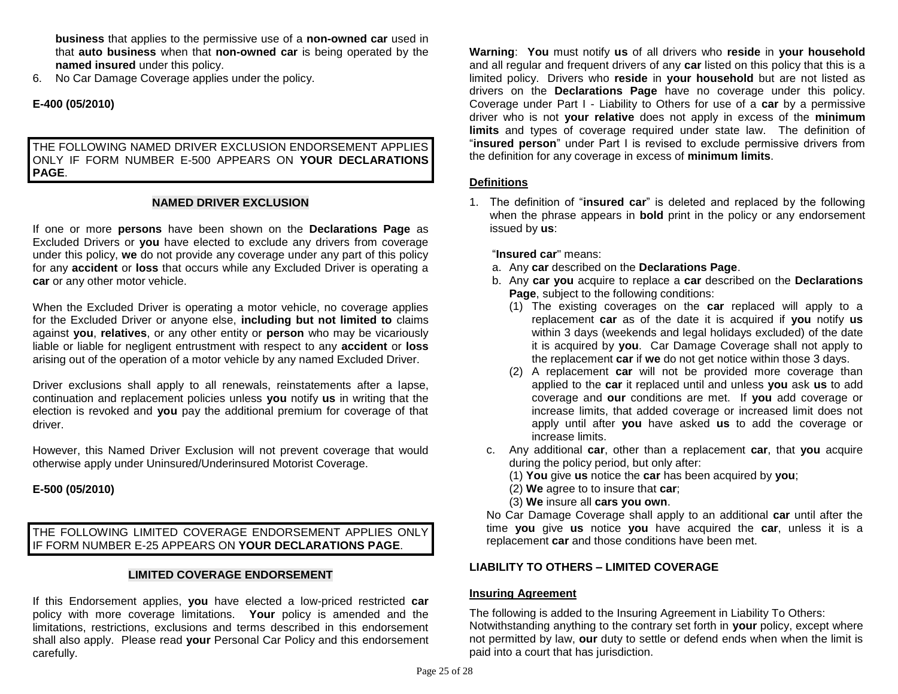**business** that applies to the permissive use of a **non-owned car** used in that **auto business** when that **non-owned car** is being operated by the **named insured** under this policy.

6. No Car Damage Coverage applies under the policy.

## **E-400 (05/2010)**

### THE FOLLOWING NAMED DRIVER EXCLUSION ENDORSEMENT APPLIES ONLY IF FORM NUMBER E-500 APPEARS ON **YOUR DECLARATIONS PAGE**.

#### **NAMED DRIVER EXCLUSION**

If one or more **persons** have been shown on the **Declarations Page** as Excluded Drivers or **you** have elected to exclude any drivers from coverage under this policy, **we** do not provide any coverage under any part of this policy for any **accident** or **loss** that occurs while any Excluded Driver is operating a **car** or any other motor vehicle.

When the Excluded Driver is operating a motor vehicle, no coverage applies for the Excluded Driver or anyone else, **including but not limited to** claims against **you**, **relatives**, or any other entity or **person** who may be vicariously liable or liable for negligent entrustment with respect to any **accident** or **loss**  arising out of the operation of a motor vehicle by any named Excluded Driver.

Driver exclusions shall apply to all renewals, reinstatements after a lapse, continuation and replacement policies unless **you** notify **us** in writing that the election is revoked and **you** pay the additional premium for coverage of that driver.

However, this Named Driver Exclusion will not prevent coverage that would otherwise apply under Uninsured/Underinsured Motorist Coverage.

#### **E-500 (05/2010)**

THE FOLLOWING LIMITED COVERAGE ENDORSEMENT APPLIES ONLY IF FORM NUMBER E-25 APPEARS ON **YOUR DECLARATIONS PAGE**.

#### **LIMITED COVERAGE ENDORSEMENT**

If this Endorsement applies, **you** have elected a low-priced restricted **car** policy with more coverage limitations. **Your** policy is amended and the limitations, restrictions, exclusions and terms described in this endorsement shall also apply.Please read **your** Personal Car Policy and this endorsement carefully.

**Warning**: **You** must notify **us** of all drivers who **reside** in **your household** and all regular and frequent drivers of any **car** listed on this policy that this is a limited policy. Drivers who **reside** in **your household** but are not listed as drivers on the **Declarations Page** have no coverage under this policy. Coverage under Part I - Liability to Others for use of a **car** by a permissive driver who is not **your relative** does not apply in excess of the **minimum limits** and types of coverage required under state law. The definition of "**insured person**" under Part I is revised to exclude permissive drivers from the definition for any coverage in excess of **minimum limits**.

#### **Definitions**

1. The definition of "**insured car**" is deleted and replaced by the following when the phrase appears in **bold** print in the policy or any endorsement issued by **us**:

"**Insured car**" means:

- a. Any **car** described on the **Declarations Page**.
- b. Any **car you** acquire to replace a **car** described on the **Declarations Page**, subject to the following conditions:
	- (1) The existing coverages on the **car** replaced will apply to a replacement **car** as of the date it is acquired if **you** notify **us**  within 3 days (weekends and legal holidays excluded) of the date it is acquired by **you**. Car Damage Coverage shall not apply to the replacement **car** if **we** do not get notice within those 3 days.
	- (2) A replacement **car** will not be provided more coverage than applied to the **car** it replaced until and unless **you** ask **us** to add coverage and **our** conditions are met. If **you** add coverage or increase limits, that added coverage or increased limit does not apply until after **you** have asked **us** to add the coverage or increase limits.
- c. Any additional **car**, other than a replacement **car**, that **you** acquire during the policy period, but only after:
	- (1) **You** give **us** notice the **car** has been acquired by **you**;
	- (2) **We** agree to to insure that **car**;
	- (3) **We** insure all **cars you own**.

No Car Damage Coverage shall apply to an additional **car** until after the time **you** give **us** notice **you** have acquired the **car**, unless it is a replacement **car** and those conditions have been met.

## **LIABILITY TO OTHERS – LIMITED COVERAGE**

#### **Insuring Agreement**

The following is added to the Insuring Agreement in Liability To Others: Notwithstanding anything to the contrary set forth in **your** policy, except where not permitted by law, **our** duty to settle or defend ends when when the limit is paid into a court that has jurisdiction.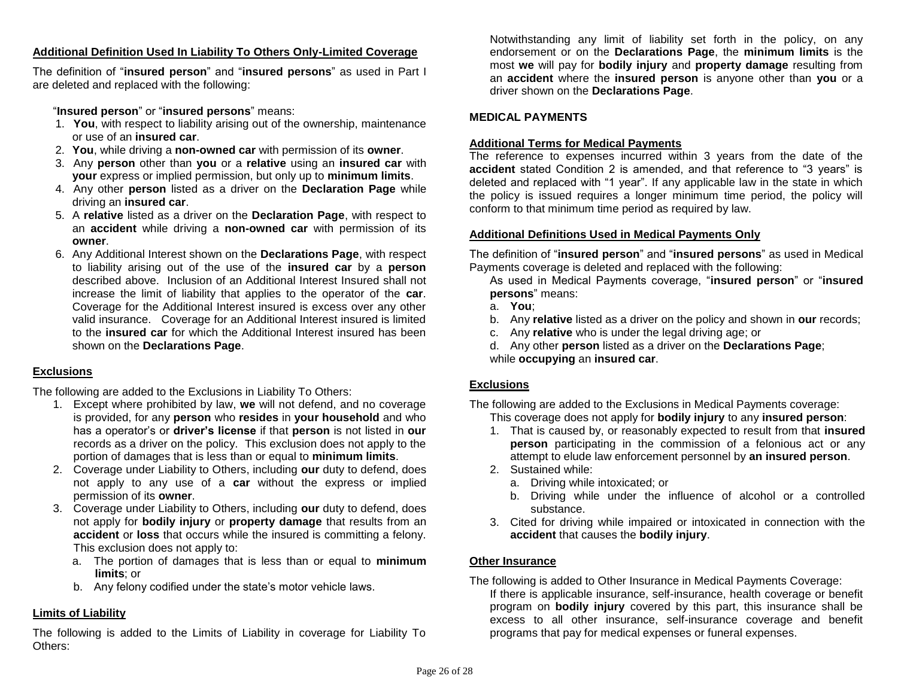## **Additional Definition Used In Liability To Others Only-Limited Coverage**

The definition of "**insured person**" and "**insured persons**" as used in Part I are deleted and replaced with the following:

"**Insured person**" or "**insured persons**" means:

- 1. **You**, with respect to liability arising out of the ownership, maintenance or use of an **insured car**.
- 2. **You**, while driving a **non-owned car** with permission of its **owner**.
- 3. Any **person** other than **you** or a **relative** using an **insured car** with **your** express or implied permission, but only up to **minimum limits**.
- 4. Any other **person** listed as a driver on the **Declaration Page** while driving an **insured car**.
- 5. A **relative** listed as a driver on the **Declaration Page**, with respect to an **accident** while driving a **non-owned car** with permission of its **owner**.
- 6. Any Additional Interest shown on the **Declarations Page**, with respect to liability arising out of the use of the **insured car** by a **person**  described above. Inclusion of an Additional Interest Insured shall not increase the limit of liability that applies to the operator of the **car**. Coverage for the Additional Interest insured is excess over any other valid insurance. Coverage for an Additional Interest insured is limited to the **insured car** for which the Additional Interest insured has been shown on the **Declarations Page**.

## **Exclusions**

The following are added to the Exclusions in Liability To Others:

- 1. Except where prohibited by law, **we** will not defend, and no coverage is provided, for any **person** who **resides** in **your household** and who has a operator's or **driver's license** if that **person** is not listed in **our**  records as a driver on the policy. This exclusion does not apply to the portion of damages that is less than or equal to **minimum limits**.
- 2. Coverage under Liability to Others, including **our** duty to defend, does not apply to any use of a **car** without the express or implied permission of its **owner**.
- 3. Coverage under Liability to Others, including **our** duty to defend, does not apply for **bodily injury** or **property damage** that results from an **accident** or **loss** that occurs while the insured is committing a felony. This exclusion does not apply to:
	- a. The portion of damages that is less than or equal to **minimum limits**; or
	- b. Any felony codified under the state's motor vehicle laws.

## **Limits of Liability**

The following is added to the Limits of Liability in coverage for Liability To Others:

Notwithstanding any limit of liability set forth in the policy, on any endorsement or on the **Declarations Page**, the **minimum limits** is the most **we** will pay for **bodily injury** and **property damage** resulting from an **accident** where the **insured person** is anyone other than **you** or a driver shown on the **Declarations Page**.

## **MEDICAL PAYMENTS**

## **Additional Terms for Medical Payments**

The reference to expenses incurred within 3 years from the date of the **accident** stated Condition 2 is amended, and that reference to "3 years" is deleted and replaced with "1 year". If any applicable law in the state in which the policy is issued requires a longer minimum time period, the policy will conform to that minimum time period as required by law.

## **Additional Definitions Used in Medical Payments Only**

The definition of "**insured person**" and "**insured persons**" as used in Medical Payments coverage is deleted and replaced with the following:

As used in Medical Payments coverage, "**insured person**" or "**insured persons**" means:

- a. **You**;
- b. Any **relative** listed as a driver on the policy and shown in **our** records;
- c. Any **relative** who is under the legal driving age; or
- d. Any other **person** listed as a driver on the **Declarations Page**;
- while **occupying** an **insured car**.

## **Exclusions**

The following are added to the Exclusions in Medical Payments coverage: This coverage does not apply for **bodily injury** to any **insured person**:

- 1. That is caused by, or reasonably expected to result from that **insured person** participating in the commission of a felonious act or any attempt to elude law enforcement personnel by **an insured person**.
- 2. Sustained while:
	- a. Driving while intoxicated; or
	- b. Driving while under the influence of alcohol or a controlled substance.
- 3. Cited for driving while impaired or intoxicated in connection with the **accident** that causes the **bodily injury**.

## **Other Insurance**

The following is added to Other Insurance in Medical Payments Coverage:

If there is applicable insurance, self-insurance, health coverage or benefit program on **bodily injury** covered by this part, this insurance shall be excess to all other insurance, self-insurance coverage and benefit programs that pay for medical expenses or funeral expenses.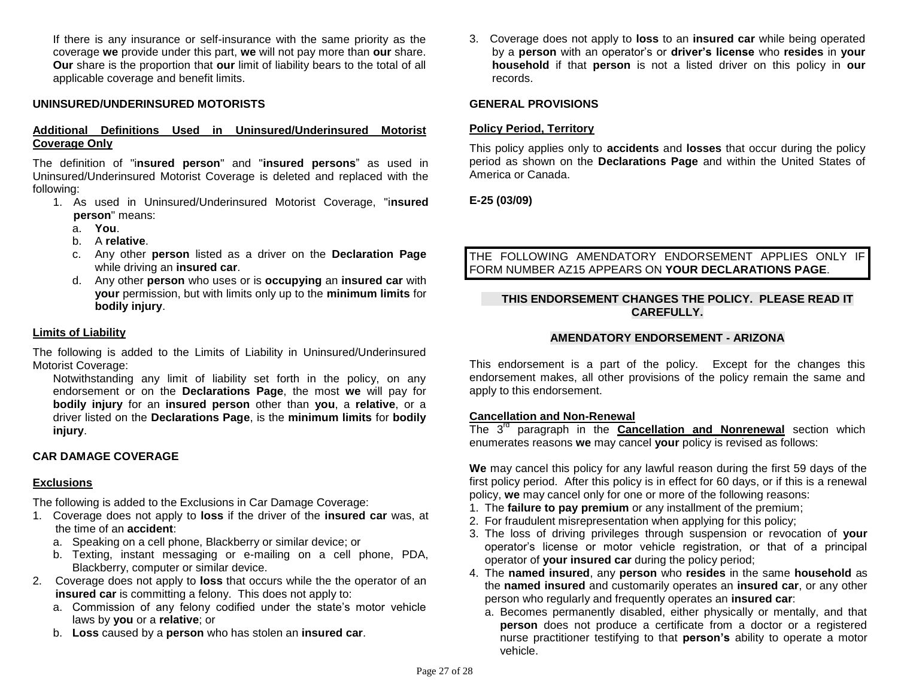If there is any insurance or self-insurance with the same priority as the coverage **we** provide under this part, **we** will not pay more than **our** share. **Our** share is the proportion that **our** limit of liability bears to the total of all applicable coverage and benefit limits.

## **UNINSURED/UNDERINSURED MOTORISTS**

### **Additional Definitions Used in Uninsured/Underinsured Motorist Coverage Only**

The definition of "i**nsured person**" and "**insured persons**" as used in Uninsured/Underinsured Motorist Coverage is deleted and replaced with the following:

- 1. As used in Uninsured/Underinsured Motorist Coverage, "i**nsured person**" means:
	- a. **You**.
	- b. A **relative**.
	- c. Any other **person** listed as a driver on the **Declaration Page** while driving an **insured car**.
	- d. Any other **person** who uses or is **occupying** an **insured car** with **your** permission, but with limits only up to the **minimum limits** for **bodily injury**.

#### **Limits of Liability**

The following is added to the Limits of Liability in Uninsured/Underinsured Motorist Coverage:

Notwithstanding any limit of liability set forth in the policy, on any endorsement or on the **Declarations Page**, the most **we** will pay for **bodily injury** for an **insured person** other than **you**, a **relative**, or a driver listed on the **Declarations Page**, is the **minimum limits** for **bodily injury**.

#### **CAR DAMAGE COVERAGE**

#### **Exclusions**

The following is added to the Exclusions in Car Damage Coverage:

- 1. Coverage does not apply to **loss** if the driver of the **insured car** was, at the time of an **accident**:
	- a. Speaking on a cell phone, Blackberry or similar device; or
	- b. Texting, instant messaging or e-mailing on a cell phone, PDA, Blackberry, computer or similar device.
- 2. Coverage does not apply to **loss** that occurs while the the operator of an **insured car** is committing a felony. This does not apply to:
	- a. Commission of any felony codified under the state's motor vehicle laws by **you** or a **relative**; or
	- b. **Loss** caused by a **person** who has stolen an **insured car**.

3. Coverage does not apply to **loss** to an **insured car** while being operated by a **person** with an operator's or **driver's license** who **resides** in **your household** if that **person** is not a listed driver on this policy in **our**  records.

#### **GENERAL PROVISIONS**

#### **Policy Period, Territory**

This policy applies only to **accidents** and **losses** that occur during the policy period as shown on the **Declarations Page** and within the United States of America or Canada.

### **E-25 (03/09)**

THE FOLLOWING AMENDATORY ENDORSEMENT APPLIES ONLY IF FORM NUMBER AZ15 APPEARS ON **YOUR DECLARATIONS PAGE**.

### **THIS ENDORSEMENT CHANGES THE POLICY. PLEASE READ IT CAREFULLY.**

#### **AMENDATORY ENDORSEMENT - ARIZONA**

This endorsement is a part of the policy. Except for the changes this endorsement makes, all other provisions of the policy remain the same and apply to this endorsement.

#### **Cancellation and Non-Renewal**

The 3<sup>rd</sup> paragraph in the **Cancellation and Nonrenewal** section which enumerates reasons **we** may cancel **your** policy is revised as follows:

**We** may cancel this policy for any lawful reason during the first 59 days of the first policy period. After this policy is in effect for 60 days, or if this is a renewal policy, **we** may cancel only for one or more of the following reasons:

- 1. The **failure to pay premium** or any installment of the premium;
- 2. For fraudulent misrepresentation when applying for this policy;
- 3. The loss of driving privileges through suspension or revocation of **your** operator's license or motor vehicle registration, or that of a principal operator of **your insured car** during the policy period;
- 4. The **named insured**, any **person** who **resides** in the same **household** as the **named insured** and customarily operates an **insured car**, or any other person who regularly and frequently operates an **insured car**:
	- a. Becomes permanently disabled, either physically or mentally, and that **person** does not produce a certificate from a doctor or a registered nurse practitioner testifying to that **person's** ability to operate a motor vehicle.